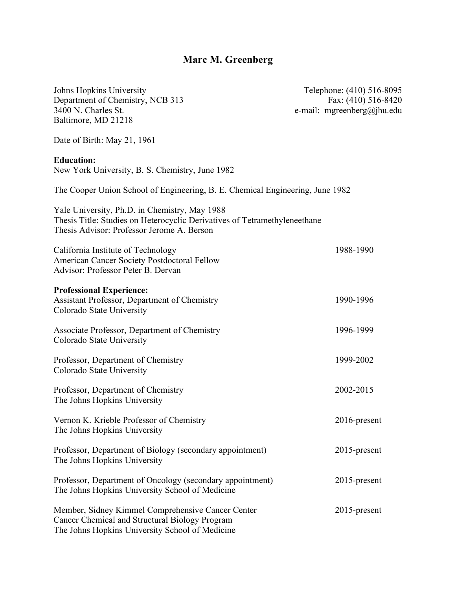# **Marc M. Greenberg**

| Johns Hopkins University<br>Department of Chemistry, NCB 313<br>3400 N. Charles St.<br>Baltimore, MD 21218                                                               | Telephone: (410) 516-8095<br>Fax: (410) 516-8420<br>e-mail: mgreenberg@jhu.edu |
|--------------------------------------------------------------------------------------------------------------------------------------------------------------------------|--------------------------------------------------------------------------------|
| Date of Birth: May 21, 1961                                                                                                                                              |                                                                                |
| <b>Education:</b><br>New York University, B. S. Chemistry, June 1982                                                                                                     |                                                                                |
| The Cooper Union School of Engineering, B. E. Chemical Engineering, June 1982                                                                                            |                                                                                |
| Yale University, Ph.D. in Chemistry, May 1988<br>Thesis Title: Studies on Heterocyclic Derivatives of Tetramethyleneethane<br>Thesis Advisor: Professor Jerome A. Berson |                                                                                |
| California Institute of Technology<br>American Cancer Society Postdoctoral Fellow<br>Advisor: Professor Peter B. Dervan                                                  | 1988-1990                                                                      |
| <b>Professional Experience:</b><br>Assistant Professor, Department of Chemistry<br>Colorado State University                                                             | 1990-1996                                                                      |
| Associate Professor, Department of Chemistry<br>Colorado State University                                                                                                | 1996-1999                                                                      |
| Professor, Department of Chemistry<br>Colorado State University                                                                                                          | 1999-2002                                                                      |
| Professor, Department of Chemistry<br>The Johns Hopkins University                                                                                                       | 2002-2015                                                                      |
| Vernon K. Krieble Professor of Chemistry<br>The Johns Hopkins University                                                                                                 | 2016-present                                                                   |
| Professor, Department of Biology (secondary appointment)<br>The Johns Hopkins University                                                                                 | 2015-present                                                                   |
| Professor, Department of Oncology (secondary appointment)<br>The Johns Hopkins University School of Medicine                                                             | 2015-present                                                                   |
| Member, Sidney Kimmel Comprehensive Cancer Center<br>Cancer Chemical and Structural Biology Program<br>The Johns Hopkins University School of Medicine                   | 2015-present                                                                   |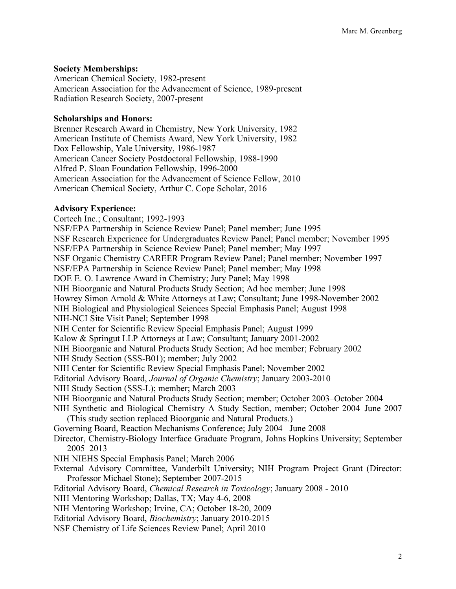#### **Society Memberships:**

American Chemical Society, 1982-present American Association for the Advancement of Science, 1989-present Radiation Research Society, 2007-present

#### **Scholarships and Honors:**

Brenner Research Award in Chemistry, New York University, 1982 American Institute of Chemists Award, New York University, 1982 Dox Fellowship, Yale University, 1986-1987 American Cancer Society Postdoctoral Fellowship, 1988-1990 Alfred P. Sloan Foundation Fellowship, 1996-2000 American Association for the Advancement of Science Fellow, 2010 American Chemical Society, Arthur C. Cope Scholar, 2016

#### **Advisory Experience:**

Cortech Inc.; Consultant; 1992-1993 NSF/EPA Partnership in Science Review Panel; Panel member; June 1995 NSF Research Experience for Undergraduates Review Panel; Panel member; November 1995 NSF/EPA Partnership in Science Review Panel; Panel member; May 1997 NSF Organic Chemistry CAREER Program Review Panel; Panel member; November 1997 NSF/EPA Partnership in Science Review Panel; Panel member; May 1998 DOE E. O. Lawrence Award in Chemistry; Jury Panel; May 1998 NIH Bioorganic and Natural Products Study Section; Ad hoc member; June 1998 Howrey Simon Arnold & White Attorneys at Law; Consultant; June 1998-November 2002 NIH Biological and Physiological Sciences Special Emphasis Panel; August 1998 NIH-NCI Site Visit Panel; September 1998 NIH Center for Scientific Review Special Emphasis Panel; August 1999 Kalow & Springut LLP Attorneys at Law; Consultant; January 2001-2002 NIH Bioorganic and Natural Products Study Section; Ad hoc member; February 2002 NIH Study Section (SSS-B01); member; July 2002 NIH Center for Scientific Review Special Emphasis Panel; November 2002 Editorial Advisory Board, *Journal of Organic Chemistry*; January 2003-2010 NIH Study Section (SSS-L); member; March 2003 NIH Bioorganic and Natural Products Study Section; member; October 2003–October 2004 NIH Synthetic and Biological Chemistry A Study Section, member; October 2004–June 2007 (This study section replaced Bioorganic and Natural Products.) Governing Board, Reaction Mechanisms Conference; July 2004– June 2008 Director, Chemistry-Biology Interface Graduate Program, Johns Hopkins University; September 2005–2013 NIH NIEHS Special Emphasis Panel; March 2006 External Advisory Committee, Vanderbilt University; NIH Program Project Grant (Director: Professor Michael Stone); September 2007-2015 Editorial Advisory Board, *Chemical Research in Toxicology*; January 2008 - 2010 NIH Mentoring Workshop; Dallas, TX; May 4-6, 2008 NIH Mentoring Workshop; Irvine, CA; October 18-20, 2009 Editorial Advisory Board, *Biochemistry*; January 2010-2015 NSF Chemistry of Life Sciences Review Panel; April 2010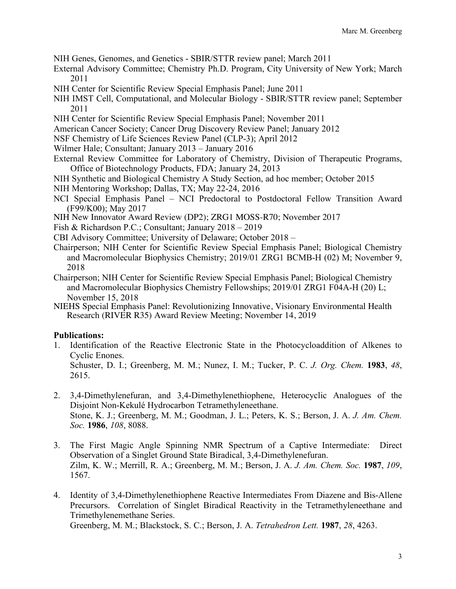- NIH Genes, Genomes, and Genetics SBIR/STTR review panel; March 2011
- External Advisory Committee; Chemistry Ph.D. Program, City University of New York; March 2011
- NIH Center for Scientific Review Special Emphasis Panel; June 2011
- NIH IMST Cell, Computational, and Molecular Biology SBIR/STTR review panel; September 2011
- NIH Center for Scientific Review Special Emphasis Panel; November 2011
- American Cancer Society; Cancer Drug Discovery Review Panel; January 2012
- NSF Chemistry of Life Sciences Review Panel (CLP-3); April 2012
- Wilmer Hale; Consultant; January 2013 January 2016
- External Review Committee for Laboratory of Chemistry, Division of Therapeutic Programs, Office of Biotechnology Products, FDA; January 24, 2013
- NIH Synthetic and Biological Chemistry A Study Section, ad hoc member; October 2015
- NIH Mentoring Workshop; Dallas, TX; May 22-24, 2016
- NCI Special Emphasis Panel NCI Predoctoral to Postdoctoral Fellow Transition Award (F99/K00); May 2017
- NIH New Innovator Award Review (DP2); ZRG1 MOSS-R70; November 2017
- Fish & Richardson P.C.; Consultant; January 2018 2019
- CBI Advisory Committee; University of Delaware; October 2018 –
- Chairperson; NIH Center for Scientific Review Special Emphasis Panel; Biological Chemistry and Macromolecular Biophysics Chemistry; 2019/01 ZRG1 BCMB-H (02) M; November 9, 2018
- Chairperson; NIH Center for Scientific Review Special Emphasis Panel; Biological Chemistry and Macromolecular Biophysics Chemistry Fellowships; 2019/01 ZRG1 F04A-H (20) L; November 15, 2018
- NIEHS Special Emphasis Panel: Revolutionizing Innovative, Visionary Environmental Health Research (RIVER R35) Award Review Meeting; November 14, 2019

# **Publications:**

- 1. Identification of the Reactive Electronic State in the Photocycloaddition of Alkenes to Cyclic Enones. Schuster, D. I.; Greenberg, M. M.; Nunez, I. M.; Tucker, P. C. *J. Org. Chem.* **1983**, *48*, 2615.
- 2. 3,4-Dimethylenefuran, and 3,4-Dimethylenethiophene, Heterocyclic Analogues of the Disjoint Non-Kekulé Hydrocarbon Tetramethyleneethane. Stone, K. J.; Greenberg, M. M.; Goodman, J. L.; Peters, K. S.; Berson, J. A. *J. Am. Chem. Soc.* **1986**, *108*, 8088.
- 3. The First Magic Angle Spinning NMR Spectrum of a Captive Intermediate: Direct Observation of a Singlet Ground State Biradical, 3,4-Dimethylenefuran. Zilm, K. W.; Merrill, R. A.; Greenberg, M. M.; Berson, J. A. *J. Am. Chem. Soc.* **1987**, *109*, 1567.
- 4. Identity of 3,4-Dimethylenethiophene Reactive Intermediates From Diazene and Bis-Allene Precursors. Correlation of Singlet Biradical Reactivity in the Tetramethyleneethane and Trimethylenemethane Series.

Greenberg, M. M.; Blackstock, S. C.; Berson, J. A. *Tetrahedron Lett.* **1987**, *28*, 4263.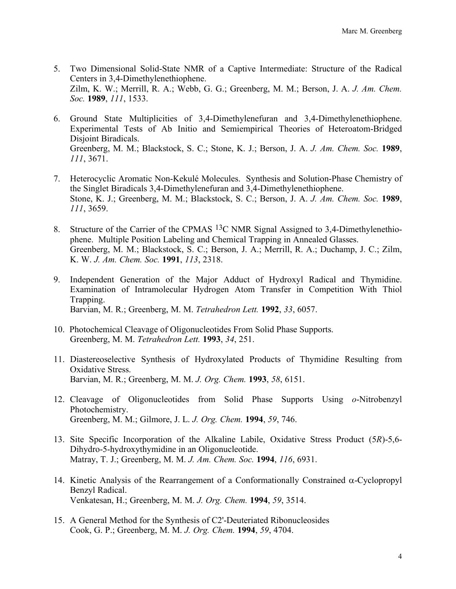- 5. Two Dimensional Solid-State NMR of a Captive Intermediate: Structure of the Radical Centers in 3,4-Dimethylenethiophene. Zilm, K. W.; Merrill, R. A.; Webb, G. G.; Greenberg, M. M.; Berson, J. A. *J. Am. Chem. Soc.* **1989**, *111*, 1533.
- 6. Ground State Multiplicities of 3,4-Dimethylenefuran and 3,4-Dimethylenethiophene. Experimental Tests of Ab Initio and Semiempirical Theories of Heteroatom-Bridged Disjoint Biradicals. Greenberg, M. M.; Blackstock, S. C.; Stone, K. J.; Berson, J. A. *J. Am. Chem. Soc.* **1989**, *111*, 3671.
- 7. Heterocyclic Aromatic Non-Kekulé Molecules. Synthesis and Solution-Phase Chemistry of the Singlet Biradicals 3,4-Dimethylenefuran and 3,4-Dimethylenethiophene. Stone, K. J.; Greenberg, M. M.; Blackstock, S. C.; Berson, J. A. *J. Am. Chem. Soc.* **1989**, *111*, 3659.
- 8. Structure of the Carrier of the CPMAS 13C NMR Signal Assigned to 3,4-Dimethylenethiophene. Multiple Position Labeling and Chemical Trapping in Annealed Glasses. Greenberg, M. M.; Blackstock, S. C.; Berson, J. A.; Merrill, R. A.; Duchamp, J. C.; Zilm, K. W. *J. Am. Chem. Soc.* **1991**, *113*, 2318.
- 9. Independent Generation of the Major Adduct of Hydroxyl Radical and Thymidine. Examination of Intramolecular Hydrogen Atom Transfer in Competition With Thiol Trapping. Barvian, M. R.; Greenberg, M. M. *Tetrahedron Lett.* **1992**, *33*, 6057.
- 10. Photochemical Cleavage of Oligonucleotides From Solid Phase Supports. Greenberg, M. M. *Tetrahedron Lett.* **1993**, *34*, 251.
- 11. Diastereoselective Synthesis of Hydroxylated Products of Thymidine Resulting from Oxidative Stress. Barvian, M. R.; Greenberg, M. M. *J. Org. Chem.* **1993**, *58*, 6151.
- 12. Cleavage of Oligonucleotides from Solid Phase Supports Using *o*-Nitrobenzyl Photochemistry. Greenberg, M. M.; Gilmore, J. L. *J. Org. Chem.* **1994**, *59*, 746.
- 13. Site Specific Incorporation of the Alkaline Labile, Oxidative Stress Product (5*R*)-5,6- Dihydro-5-hydroxythymidine in an Oligonucleotide. Matray, T. J.; Greenberg, M. M. *J. Am. Chem. Soc.* **1994**, *116*, 6931.
- 14. Kinetic Analysis of the Rearrangement of a Conformationally Constrained  $\alpha$ -Cyclopropyl Benzyl Radical. Venkatesan, H.; Greenberg, M. M. *J. Org. Chem.* **1994**, *59*, 3514.
- 15. A General Method for the Synthesis of C2'-Deuteriated Ribonucleosides Cook, G. P.; Greenberg, M. M. *J. Org. Chem.* **1994**, *59*, 4704.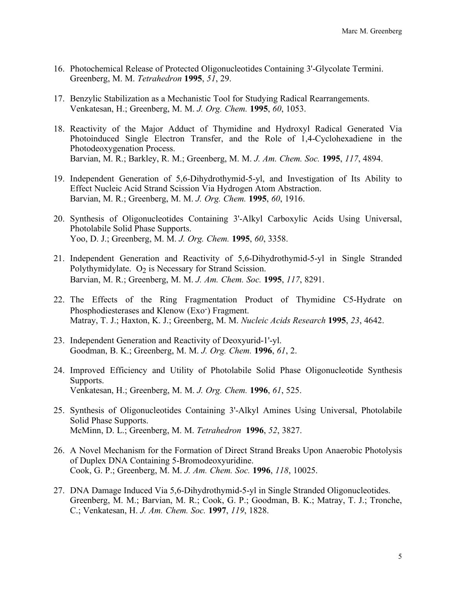- 16. Photochemical Release of Protected Oligonucleotides Containing 3'-Glycolate Termini. Greenberg, M. M. *Tetrahedron* **1995**, *51*, 29.
- 17. Benzylic Stabilization as a Mechanistic Tool for Studying Radical Rearrangements. Venkatesan, H.; Greenberg, M. M. *J. Org. Chem.* **1995**, *60*, 1053.
- 18. Reactivity of the Major Adduct of Thymidine and Hydroxyl Radical Generated Via Photoinduced Single Electron Transfer, and the Role of 1,4-Cyclohexadiene in the Photodeoxygenation Process. Barvian, M. R.; Barkley, R. M.; Greenberg, M. M. *J. Am. Chem. Soc.* **1995**, *117*, 4894.
- 19. Independent Generation of 5,6-Dihydrothymid-5-yl, and Investigation of Its Ability to Effect Nucleic Acid Strand Scission Via Hydrogen Atom Abstraction. Barvian, M. R.; Greenberg, M. M. *J. Org. Chem.* **1995**, *60*, 1916.
- 20. Synthesis of Oligonucleotides Containing 3'-Alkyl Carboxylic Acids Using Universal, Photolabile Solid Phase Supports. Yoo, D. J.; Greenberg, M. M. *J. Org. Chem.* **1995**, *60*, 3358.
- 21. Independent Generation and Reactivity of 5,6-Dihydrothymid-5-yl in Single Stranded Polythymidylate.  $O<sub>2</sub>$  is Necessary for Strand Scission. Barvian, M. R.; Greenberg, M. M. *J. Am. Chem. Soc.* **1995**, *117*, 8291.
- 22. The Effects of the Ring Fragmentation Product of Thymidine C5-Hydrate on Phosphodiesterases and Klenow (Exo-) Fragment. Matray, T. J.; Haxton, K. J.; Greenberg, M. M. *Nucleic Acids Research* **1995**, *23*, 4642.
- 23. Independent Generation and Reactivity of Deoxyurid-1'-yl. Goodman, B. K.; Greenberg, M. M. *J. Org. Chem.* **1996**, *61*, 2.
- 24. Improved Efficiency and Utility of Photolabile Solid Phase Oligonucleotide Synthesis Supports. Venkatesan, H.; Greenberg, M. M. *J. Org. Chem.* **1996**, *61*, 525.
- 25. Synthesis of Oligonucleotides Containing 3'-Alkyl Amines Using Universal, Photolabile Solid Phase Supports. McMinn, D. L.; Greenberg, M. M. *Tetrahedron* **1996**, *52*, 3827.
- 26. A Novel Mechanism for the Formation of Direct Strand Breaks Upon Anaerobic Photolysis of Duplex DNA Containing 5-Bromodeoxyuridine. Cook, G. P.; Greenberg, M. M. *J. Am. Chem. Soc.* **1996**, *118*, 10025.
- 27. DNA Damage Induced Via 5,6-Dihydrothymid-5-yl in Single Stranded Oligonucleotides. Greenberg, M. M.; Barvian, M. R.; Cook, G. P.; Goodman, B. K.; Matray, T. J.; Tronche, C.; Venkatesan, H. *J. Am. Chem. Soc.* **1997**, *119*, 1828.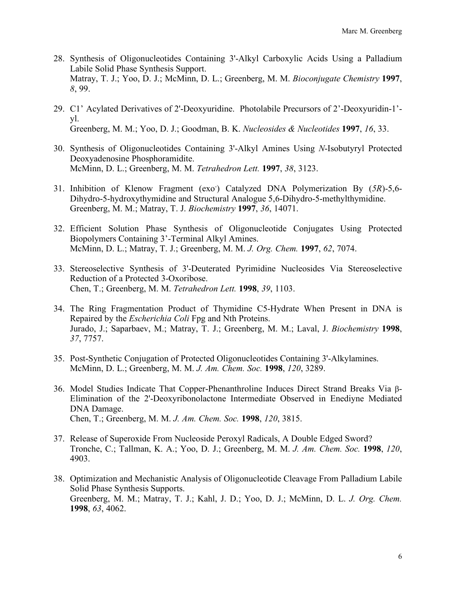- 28. Synthesis of Oligonucleotides Containing 3'-Alkyl Carboxylic Acids Using a Palladium Labile Solid Phase Synthesis Support. Matray, T. J.; Yoo, D. J.; McMinn, D. L.; Greenberg, M. M. *Bioconjugate Chemistry* **1997**, *8*, 99.
- 29. C1' Acylated Derivatives of 2'-Deoxyuridine. Photolabile Precursors of 2'-Deoxyuridin-1' yl. Greenberg, M. M.; Yoo, D. J.; Goodman, B. K. *Nucleosides & Nucleotides* **1997**, *16*, 33.
- 30. Synthesis of Oligonucleotides Containing 3'-Alkyl Amines Using *N*-Isobutyryl Protected Deoxyadenosine Phosphoramidite. McMinn, D. L.; Greenberg, M. M. *Tetrahedron Lett.* **1997**, *38*, 3123.
- 31. Inhibition of Klenow Fragment (exo<sup>-</sup>) Catalyzed DNA Polymerization By (5R)-5,6-Dihydro-5-hydroxythymidine and Structural Analogue 5,6-Dihydro-5-methylthymidine. Greenberg, M. M.; Matray, T. J. *Biochemistry* **1997**, *36*, 14071.
- 32. Efficient Solution Phase Synthesis of Oligonucleotide Conjugates Using Protected Biopolymers Containing 3'-Terminal Alkyl Amines. McMinn, D. L.; Matray, T. J.; Greenberg, M. M. *J. Org. Chem.* **1997**, *62*, 7074.
- 33. Stereoselective Synthesis of 3'-Deuterated Pyrimidine Nucleosides Via Stereoselective Reduction of a Protected 3-Oxoribose. Chen, T.; Greenberg, M. M. *Tetrahedron Lett.* **1998**, *39*, 1103.
- 34. The Ring Fragmentation Product of Thymidine C5-Hydrate When Present in DNA is Repaired by the *Escherichia Coli* Fpg and Nth Proteins. Jurado, J.; Saparbaev, M.; Matray, T. J.; Greenberg, M. M.; Laval, J. *Biochemistry* **1998**, *37*, 7757.
- 35. Post-Synthetic Conjugation of Protected Oligonucleotides Containing 3'-Alkylamines. McMinn, D. L.; Greenberg, M. M. *J. Am. Chem. Soc.* **1998**, *120*, 3289.
- 36. Model Studies Indicate That Copper-Phenanthroline Induces Direct Strand Breaks Via b-Elimination of the 2'-Deoxyribonolactone Intermediate Observed in Enediyne Mediated DNA Damage. Chen, T.; Greenberg, M. M. *J. Am. Chem. Soc.* **1998**, *120*, 3815.
- 37. Release of Superoxide From Nucleoside Peroxyl Radicals, A Double Edged Sword? Tronche, C.; Tallman, K. A.; Yoo, D. J.; Greenberg, M. M. *J. Am. Chem. Soc.* **1998**, *120*, 4903.
- 38. Optimization and Mechanistic Analysis of Oligonucleotide Cleavage From Palladium Labile Solid Phase Synthesis Supports. Greenberg, M. M.; Matray, T. J.; Kahl, J. D.; Yoo, D. J.; McMinn, D. L. *J. Org. Chem.*  **1998**, *63*, 4062.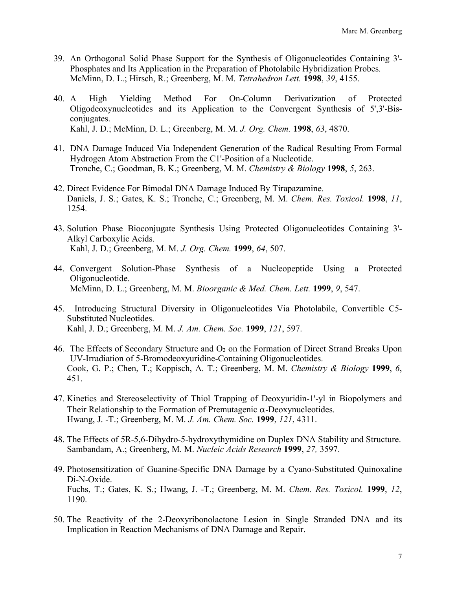- 39. An Orthogonal Solid Phase Support for the Synthesis of Oligonucleotides Containing 3'- Phosphates and Its Application in the Preparation of Photolabile Hybridization Probes. McMinn, D. L.; Hirsch, R.; Greenberg, M. M. *Tetrahedron Lett.* **1998**, *39*, 4155.
- 40. A High Yielding Method For On-Column Derivatization of Protected Oligodeoxynucleotides and its Application to the Convergent Synthesis of 5',3'-Bisconjugates. Kahl, J. D.; McMinn, D. L.; Greenberg, M. M. *J. Org. Chem.* **1998**, *63*, 4870.
- 41. DNA Damage Induced Via Independent Generation of the Radical Resulting From Formal Hydrogen Atom Abstraction From the C1'-Position of a Nucleotide. Tronche, C.; Goodman, B. K.; Greenberg, M. M. *Chemistry & Biology* **1998**, *5*, 263.
- 42. Direct Evidence For Bimodal DNA Damage Induced By Tirapazamine. Daniels, J. S.; Gates, K. S.; Tronche, C.; Greenberg, M. M. *Chem. Res. Toxicol.* **1998**, *11*, 1254.
- 43. Solution Phase Bioconjugate Synthesis Using Protected Oligonucleotides Containing 3'- Alkyl Carboxylic Acids. Kahl, J. D.; Greenberg, M. M. *J. Org. Chem.* **1999**, *64*, 507.
- 44. Convergent Solution-Phase Synthesis of a Nucleopeptide Using a Protected Oligonucleotide. McMinn, D. L.; Greenberg, M. M. *Bioorganic & Med. Chem. Lett.* **1999**, *9*, 547.
- 45. Introducing Structural Diversity in Oligonucleotides Via Photolabile, Convertible C5- Substituted Nucleotides. Kahl, J. D.; Greenberg, M. M. *J. Am. Chem. Soc.* **1999**, *121*, 597.
- 46. The Effects of Secondary Structure and  $O_2$  on the Formation of Direct Strand Breaks Upon UV-Irradiation of 5-Bromodeoxyuridine-Containing Oligonucleotides. Cook, G. P.; Chen, T.; Koppisch, A. T.; Greenberg, M. M. *Chemistry & Biology* **1999**, *6*, 451.
- 47. Kinetics and Stereoselectivity of Thiol Trapping of Deoxyuridin-1'-yl in Biopolymers and Their Relationship to the Formation of Premutagenic  $\alpha$ -Deoxynucleotides. Hwang, J. -T.; Greenberg, M. M. *J. Am. Chem. Soc.* **1999**, *121*, 4311.
- 48. The Effects of 5R-5,6-Dihydro-5-hydroxythymidine on Duplex DNA Stability and Structure. Sambandam, A.; Greenberg, M. M. *Nucleic Acids Research* **1999**, *27,* 3597.
- 49. Photosensitization of Guanine-Specific DNA Damage by a Cyano-Substituted Quinoxaline Di-N-Oxide. Fuchs, T.; Gates, K. S.; Hwang, J. -T.; Greenberg, M. M. *Chem. Res. Toxicol.* **1999**, *12*, 1190.
- 50. The Reactivity of the 2-Deoxyribonolactone Lesion in Single Stranded DNA and its Implication in Reaction Mechanisms of DNA Damage and Repair.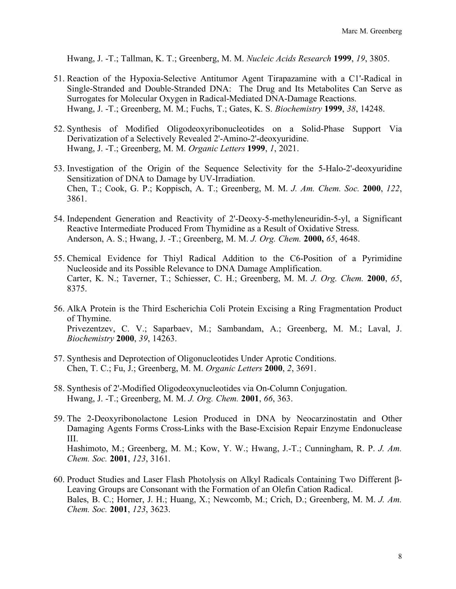Hwang, J. -T.; Tallman, K. T.; Greenberg, M. M. *Nucleic Acids Research* **1999**, *19*, 3805.

- 51. Reaction of the Hypoxia-Selective Antitumor Agent Tirapazamine with a C1'-Radical in Single-Stranded and Double-Stranded DNA: The Drug and Its Metabolites Can Serve as Surrogates for Molecular Oxygen in Radical-Mediated DNA-Damage Reactions. Hwang, J. -T.; Greenberg, M. M.; Fuchs, T.; Gates, K. S. *Biochemistry* **1999**, *38*, 14248.
- 52. Synthesis of Modified Oligodeoxyribonucleotides on a Solid-Phase Support Via Derivatization of a Selectively Revealed 2'-Amino-2'-deoxyuridine. Hwang, J. -T.; Greenberg, M. M. *Organic Letters* **1999**, *1*, 2021.
- 53. Investigation of the Origin of the Sequence Selectivity for the 5-Halo-2'-deoxyuridine Sensitization of DNA to Damage by UV-Irradiation. Chen, T.; Cook, G. P.; Koppisch, A. T.; Greenberg, M. M. *J. Am. Chem. Soc.* **2000**, *122*, 3861.
- 54. Independent Generation and Reactivity of 2'-Deoxy-5-methyleneuridin-5-yl, a Significant Reactive Intermediate Produced From Thymidine as a Result of Oxidative Stress. Anderson, A. S.; Hwang, J. -T.; Greenberg, M. M. *J. Org. Chem.* **2000,** *65*, 4648.
- 55. Chemical Evidence for Thiyl Radical Addition to the C6-Position of a Pyrimidine Nucleoside and its Possible Relevance to DNA Damage Amplification. Carter, K. N.; Taverner, T.; Schiesser, C. H.; Greenberg, M. M. *J. Org. Chem.* **2000**, *65*, 8375.
- 56. AlkA Protein is the Third Escherichia Coli Protein Excising a Ring Fragmentation Product of Thymine. Privezentzev, C. V.; Saparbaev, M.; Sambandam, A.; Greenberg, M. M.; Laval, J. *Biochemistry* **2000**, *39*, 14263.
- 57. Synthesis and Deprotection of Oligonucleotides Under Aprotic Conditions. Chen, T. C.; Fu, J.; Greenberg, M. M. *Organic Letters* **2000**, *2*, 3691.
- 58. Synthesis of 2'-Modified Oligodeoxynucleotides via On-Column Conjugation. Hwang, J. -T.; Greenberg, M. M. *J. Org. Chem.* **2001**, *66*, 363.
- 59. The 2-Deoxyribonolactone Lesion Produced in DNA by Neocarzinostatin and Other Damaging Agents Forms Cross-Links with the Base-Excision Repair Enzyme Endonuclease III. Hashimoto, M.; Greenberg, M. M.; Kow, Y. W.; Hwang, J.-T.; Cunningham, R. P. *J. Am. Chem. Soc.* **2001**, *123*, 3161.
- 60. Product Studies and Laser Flash Photolysis on Alkyl Radicals Containing Two Different b-Leaving Groups are Consonant with the Formation of an Olefin Cation Radical. Bales, B. C.; Horner, J. H.; Huang, X.; Newcomb, M.; Crich, D.; Greenberg, M. M. *J. Am. Chem. Soc.* **2001**, *123*, 3623.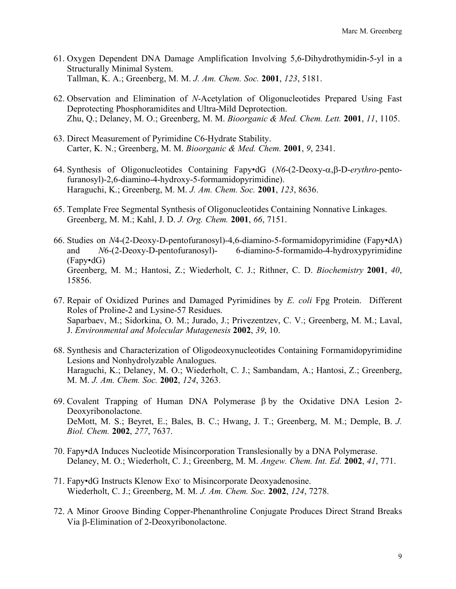- 61. Oxygen Dependent DNA Damage Amplification Involving 5,6-Dihydrothymidin-5-yl in a Structurally Minimal System. Tallman, K. A.; Greenberg, M. M. *J. Am. Chem. Soc.* **2001**, *123*, 5181.
- 62. Observation and Elimination of *N*-Acetylation of Oligonucleotides Prepared Using Fast Deprotecting Phosphoramidites and Ultra-Mild Deprotection. Zhu, Q.; Delaney, M. O.; Greenberg, M. M. *Bioorganic & Med. Chem. Lett.* **2001**, *11*, 1105.
- 63. Direct Measurement of Pyrimidine C6-Hydrate Stability. Carter, K. N.; Greenberg, M. M. *Bioorganic & Med. Chem.* **2001**, *9*, 2341.
- 64. Synthesis of Oligonucleotides Containing Fapy•dG (*N6*-(2-Deoxy-a,b-D-*erythro*-pentofuranosyl)-2,6-diamino-4-hydroxy-5-formamidopyrimidine). Haraguchi, K.; Greenberg, M. M. *J. Am. Chem. Soc.* **2001**, *123*, 8636.
- 65. Template Free Segmental Synthesis of Oligonucleotides Containing Nonnative Linkages. Greenberg, M. M.; Kahl, J. D. *J. Org. Chem.* **2001**, *66*, 7151.
- 66. Studies on *N*4-(2-Deoxy-D-pentofuranosyl)-4,6-diamino-5-formamidopyrimidine (Fapy•dA) and *N*6-(2-Deoxy-D-pentofuranosyl)- 6-diamino-5-formamido-4-hydroxypyrimidine (Fapy•dG) Greenberg, M. M.; Hantosi, Z.; Wiederholt, C. J.; Rithner, C. D. *Biochemistry* **2001**, *40*, 15856.
- 67. Repair of Oxidized Purines and Damaged Pyrimidines by *E. coli* Fpg Protein. Different Roles of Proline-2 and Lysine-57 Residues. Saparbaev, M.; Sidorkina, O. M.; Jurado, J.; Privezentzev, C. V.; Greenberg, M. M.; Laval, J. *Environmental and Molecular Mutagenesis* **2002**, *39*, 10.
- 68. Synthesis and Characterization of Oligodeoxynucleotides Containing Formamidopyrimidine Lesions and Nonhydrolyzable Analogues. Haraguchi, K.; Delaney, M. O.; Wiederholt, C. J.; Sambandam, A.; Hantosi, Z.; Greenberg, M. M. *J. Am. Chem. Soc.* **2002**, *124*, 3263.
- 69. Covalent Trapping of Human DNA Polymerase  $\beta$  by the Oxidative DNA Lesion 2-Deoxyribonolactone. DeMott, M. S.; Beyret, E.; Bales, B. C.; Hwang, J. T.; Greenberg, M. M.; Demple, B. *J. Biol. Chem.* **2002**, *277*, 7637.
- 70. Fapy•dA Induces Nucleotide Misincorporation Translesionally by a DNA Polymerase. Delaney, M. O.; Wiederholt, C. J.; Greenberg, M. M. *Angew. Chem. Int. Ed.* **2002**, *41*, 771.
- 71. Fapy•dG Instructs Klenow Exo- to Misincorporate Deoxyadenosine. Wiederholt, C. J.; Greenberg, M. M. *J. Am. Chem. Soc.* **2002**, *124*, 7278.
- 72. A Minor Groove Binding Copper-Phenanthroline Conjugate Produces Direct Strand Breaks Via b-Elimination of 2-Deoxyribonolactone.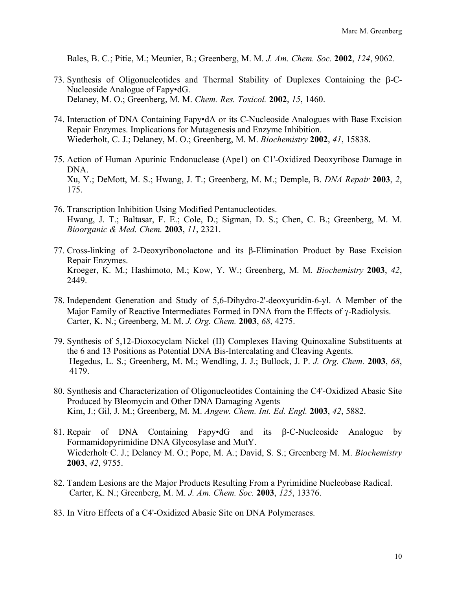Bales, B. C.; Pitie, M.; Meunier, B.; Greenberg, M. M. *J. Am. Chem. Soc.* **2002**, *124*, 9062.

- 73. Synthesis of Oligonucleotides and Thermal Stability of Duplexes Containing the b-C-Nucleoside Analogue of Fapy•dG. Delaney, M. O.; Greenberg, M. M. *Chem. Res. Toxicol.* **2002**, *15*, 1460.
- 74. Interaction of DNA Containing Fapy•dA or its C-Nucleoside Analogues with Base Excision Repair Enzymes. Implications for Mutagenesis and Enzyme Inhibition. Wiederholt, C. J.; Delaney, M. O.; Greenberg, M. M. *Biochemistry* **2002**, *41*, 15838.
- 75. Action of Human Apurinic Endonuclease (Ape1) on C1'-Oxidized Deoxyribose Damage in DNA. Xu, Y.; DeMott, M. S.; Hwang, J. T.; Greenberg, M. M.; Demple, B. *DNA Repair* **2003**, *2*, 175.
- 76. Transcription Inhibition Using Modified Pentanucleotides. Hwang, J. T.; Baltasar, F. E.; Cole, D.; Sigman, D. S.; Chen, C. B.; Greenberg, M. M. *Bioorganic & Med. Chem.* **2003**, *11*, 2321.
- 77. Cross-linking of 2-Deoxyribonolactone and its b-Elimination Product by Base Excision Repair Enzymes. Kroeger, K. M.; Hashimoto, M.; Kow, Y. W.; Greenberg, M. M. *Biochemistry* **2003**, *42*, 2449.
- 78. Independent Generation and Study of 5,6-Dihydro-2'-deoxyuridin-6-yl. A Member of the Major Family of Reactive Intermediates Formed in DNA from the Effects of  $\gamma$ -Radiolysis. Carter, K. N.; Greenberg, M. M. *J. Org. Chem.* **2003**, *68*, 4275.
- 79. Synthesis of 5,12-Dioxocyclam Nickel (II) Complexes Having Quinoxaline Substituents at the 6 and 13 Positions as Potential DNA Bis-Intercalating and Cleaving Agents. Hegedus, L. S.; Greenberg, M. M.; Wendling, J. J.; Bullock, J. P. *J. Org. Chem.* **2003**, *68*, 4179.
- 80. Synthesis and Characterization of Oligonucleotides Containing the C4'-Oxidized Abasic Site Produced by Bleomycin and Other DNA Damaging Agents Kim, J.; Gil, J. M.; Greenberg, M. M. *Angew. Chem. Int. Ed. Engl.* **2003**, *42*, 5882.
- 81. Repair of DNA Containing Fapy•dG and its  $\beta$ -C-Nucleoside Analogue by Formamidopyrimidine DNA Glycosylase and MutY. Wiederholt, C. J.; Delaney, M. O.; Pope, M. A.; David, S. S.; Greenberg, M. M. *Biochemistry* **2003**, *42*, 9755.
- 82. Tandem Lesions are the Major Products Resulting From a Pyrimidine Nucleobase Radical. Carter, K. N.; Greenberg, M. M. *J. Am. Chem. Soc.* **2003**, *125*, 13376.
- 83. In Vitro Effects of a C4'-Oxidized Abasic Site on DNA Polymerases.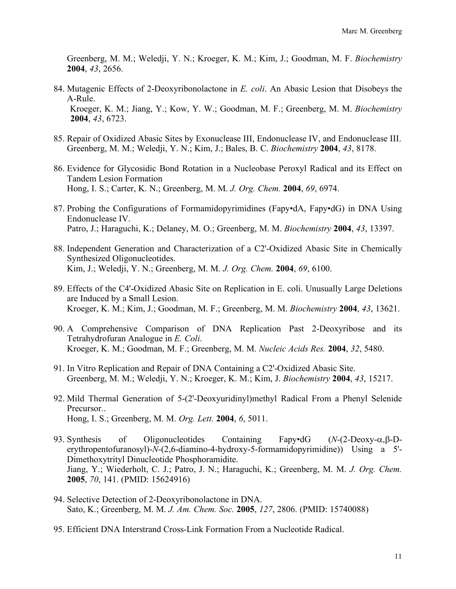Greenberg, M. M.; Weledji, Y. N.; Kroeger, K. M.; Kim, J.; Goodman, M. F. *Biochemistry* **2004**, *43*, 2656.

- 84. Mutagenic Effects of 2-Deoxyribonolactone in *E. coli*. An Abasic Lesion that Disobeys the A-Rule. Kroeger, K. M.; Jiang, Y.; Kow, Y. W.; Goodman, M. F.; Greenberg, M. M. *Biochemistry* **2004**, *43*, 6723.
- 85. Repair of Oxidized Abasic Sites by Exonuclease III, Endonuclease IV, and Endonuclease III. Greenberg, M. M.; Weledji, Y. N.; Kim, J.; Bales, B. C. *Biochemistry* **2004**, *43*, 8178.
- 86. Evidence for Glycosidic Bond Rotation in a Nucleobase Peroxyl Radical and its Effect on Tandem Lesion Formation Hong, I. S.; Carter, K. N.; Greenberg, M. M. *J. Org. Chem.* **2004**, *69*, 6974.
- 87. Probing the Configurations of Formamidopyrimidines (Fapy•dA, Fapy•dG) in DNA Using Endonuclease IV. Patro, J.; Haraguchi, K.; Delaney, M. O.; Greenberg, M. M. *Biochemistry* **2004**, *43*, 13397.
- 88. Independent Generation and Characterization of a C2'-Oxidized Abasic Site in Chemically Synthesized Oligonucleotides. Kim, J.; Weledji, Y. N.; Greenberg, M. M. *J. Org. Chem.* **2004**, *69*, 6100.
- 89. Effects of the C4'-Oxidized Abasic Site on Replication in E. coli. Unusually Large Deletions are Induced by a Small Lesion. Kroeger, K. M.; Kim, J.; Goodman, M. F.; Greenberg, M. M. *Biochemistry* **2004**, *43*, 13621.
- 90. A Comprehensive Comparison of DNA Replication Past 2-Deoxyribose and its Tetrahydrofuran Analogue in *E. Coli*. Kroeger, K. M.; Goodman, M. F.; Greenberg, M. M. *Nucleic Acids Res.* **2004**, *32*, 5480.
- 91. In Vitro Replication and Repair of DNA Containing a C2'-Oxidized Abasic Site. Greenberg, M. M.; Weledji, Y. N.; Kroeger, K. M.; Kim, J. *Biochemistry* **2004**, *43*, 15217.
- 92. Mild Thermal Generation of 5-(2'-Deoxyuridinyl)methyl Radical From a Phenyl Selenide Precursor.. Hong, I. S.; Greenberg, M. M. *Org. Lett.* **2004**, *6*, 5011.
- 93. Synthesis of Oligonucleotides Containing Fapy•dG (*N*-(2-Deoxy-α, β-Derythropentofuranosyl)-*N*-(2,6-diamino-4-hydroxy-5-formamidopyrimidine)) Using a 5'- Dimethoxytrityl Dinucleotide Phosphoramidite. Jiang, Y.; Wiederholt, C. J.; Patro, J. N.; Haraguchi, K.; Greenberg, M. M. *J. Org. Chem.*  **2005**, *70*, 141. (PMID: 15624916)
- 94. Selective Detection of 2-Deoxyribonolactone in DNA. Sato, K.; Greenberg, M. M. *J. Am. Chem. Soc.* **2005**, *127*, 2806. (PMID: 15740088)
- 95. Efficient DNA Interstrand Cross-Link Formation From a Nucleotide Radical.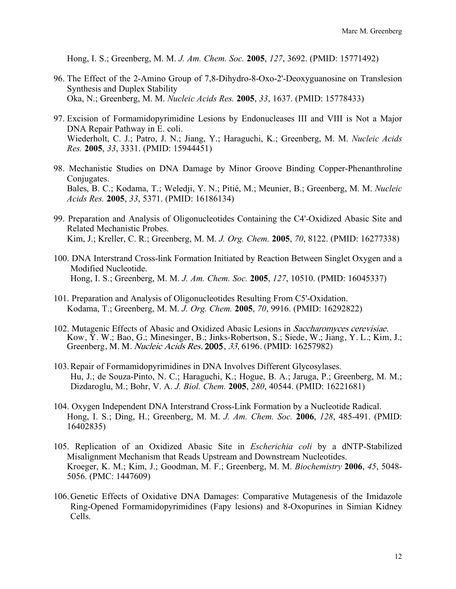Hong, I. S.; Greenberg, M. M. *J. Am. Chem. Soc.* **2005**, *127*, 3692. (PMID: 15771492)

- 96. The Effect of the 2-Amino Group of 7,8-Dihydro-8-Oxo-2'-Deoxyguanosine on Translesion Synthesis and Duplex Stability Oka, N.; Greenberg, M. M. *Nucleic Acids Res.* **2005**, *33*, 1637. (PMID: 15778433)
- 97. Excision of Formamidopyrimidine Lesions by Endonucleases III and VIII is Not a Major DNA Repair Pathway in E. coli. Wiederholt, C. J.; Patro, J. N.; Jiang, Y.; Haraguchi, K.; Greenberg, M. M. *Nucleic Acids Res.* **2005**, *33*, 3331. (PMID: 15944451)
- 98. Mechanistic Studies on DNA Damage by Minor Groove Binding Copper-Phenanthroline Conjugates. Bales, B. C.; Kodama, T.; Weledji, Y. N.; Pitié, M.; Meunier, B.; Greenberg, M. M. *Nucleic Acids Res.* **2005**, *33*, 5371. (PMID: 16186134)
- 99. Preparation and Analysis of Oligonucleotides Containing the C4'-Oxidized Abasic Site and Related Mechanistic Probes. Kim, J.; Kreller, C. R.; Greenberg, M. M. *J. Org. Chem.* **2005**, *70*, 8122. (PMID: 16277338)
- 100. DNA Interstrand Cross-link Formation Initiated by Reaction Between Singlet Oxygen and a Modified Nucleotide. Hong, I. S.; Greenberg, M. M. *J. Am. Chem. Soc.* **2005**, *127*, 10510. (PMID: 16045337)
- 101. Preparation and Analysis of Oligonucleotides Resulting From C5'-Oxidation. Kodama, T.; Greenberg, M. M. *J. Org. Chem.* **2005**, *70*, 9916. (PMID: 16292822)
- 102. Mutagenic Effects of Abasic and Oxidized Abasic Lesions in Saccharomyces cerevisiae.<br>Kow, Y. W.; Bao, G.; Minesinger, B.; Jinks-Robertson, S.; Siede, W.; Jiang, Y. L.; Kim, J.; Greenberg, M. M. Nucleic Acids Res. 2005, 33, 6196. (PMID: 16257982)
- 103.Repair of Formamidopyrimidines in DNA Involves Different Glycosylases. Hu, J.; de Souza-Pinto, N. C.; Haraguchi, K.; Hogue, B. A.; Jaruga, P.; Greenberg, M. M.; Dizdaroglu, M.; Bohr, V. A. *J. Biol. Chem.* **2005**, *280*, 40544. (PMID: 16221681)
- 104. Oxygen Independent DNA Interstrand Cross-Link Formation by a Nucleotide Radical. Hong, I. S.; Ding, H.; Greenberg, M. M. *J. Am. Chem. Soc.* **2006**, *128*, 485-491. (PMID: 16402835)
- 105. Replication of an Oxidized Abasic Site in *Escherichia coli* by a dNTP-Stabilized Misalignment Mechanism that Reads Upstream and Downstream Nucleotides. Kroeger, K. M.; Kim, J.; Goodman, M. F.; Greenberg, M. M. *Biochemistry* **2006**, *45*, 5048- 5056. (PMC: 1447609)
- 106.Genetic Effects of Oxidative DNA Damages: Comparative Mutagenesis of the Imidazole Ring-Opened Formamidopyrimidines (Fapy lesions) and 8-Oxopurines in Simian Kidney Cells.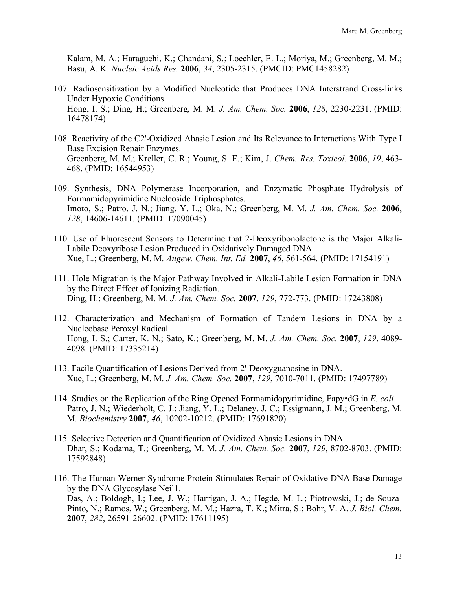Kalam, M. A.; Haraguchi, K.; Chandani, S.; Loechler, E. L.; Moriya, M.; Greenberg, M. M.; Basu, A. K. *Nucleic Acids Res.* **2006**, *34*, 2305-2315. (PMCID: PMC1458282)

- 107. Radiosensitization by a Modified Nucleotide that Produces DNA Interstrand Cross-links Under Hypoxic Conditions. Hong, I. S.; Ding, H.; Greenberg, M. M. *J. Am. Chem. Soc.* **2006**, *128*, 2230-2231. (PMID: 16478174)
- 108. Reactivity of the C2'-Oxidized Abasic Lesion and Its Relevance to Interactions With Type I Base Excision Repair Enzymes. Greenberg, M. M.; Kreller, C. R.; Young, S. E.; Kim, J. *Chem. Res. Toxicol.* **2006**, *19*, 463- 468. (PMID: 16544953)
- 109. Synthesis, DNA Polymerase Incorporation, and Enzymatic Phosphate Hydrolysis of Formamidopyrimidine Nucleoside Triphosphates. Imoto, S.; Patro, J. N.; Jiang, Y. L.; Oka, N.; Greenberg, M. M. *J. Am. Chem. Soc.* **2006**, *128*, 14606-14611. (PMID: 17090045)
- 110. Use of Fluorescent Sensors to Determine that 2-Deoxyribonolactone is the Major Alkali-Labile Deoxyribose Lesion Produced in Oxidatively Damaged DNA. Xue, L.; Greenberg, M. M. *Angew. Chem. Int. Ed.* **2007**, *46*, 561-564. (PMID: 17154191)
- 111. Hole Migration is the Major Pathway Involved in Alkali-Labile Lesion Formation in DNA by the Direct Effect of Ionizing Radiation. Ding, H.; Greenberg, M. M. *J. Am. Chem. Soc.* **2007**, *129*, 772-773. (PMID: 17243808)
- 112. Characterization and Mechanism of Formation of Tandem Lesions in DNA by a Nucleobase Peroxyl Radical. Hong, I. S.; Carter, K. N.; Sato, K.; Greenberg, M. M. *J. Am. Chem. Soc.* **2007**, *129*, 4089- 4098. (PMID: 17335214)
- 113. Facile Quantification of Lesions Derived from 2'-Deoxyguanosine in DNA. Xue, L.; Greenberg, M. M. *J. Am. Chem. Soc.* **2007**, *129*, 7010-7011. (PMID: 17497789)
- 114. Studies on the Replication of the Ring Opened Formamidopyrimidine, Fapy•dG in *E. coli*. Patro, J. N.; Wiederholt, C. J.; Jiang, Y. L.; Delaney, J. C.; Essigmann, J. M.; Greenberg, M. M. *Biochemistry* **2007**, *46*, 10202-10212. (PMID: 17691820)
- 115. Selective Detection and Quantification of Oxidized Abasic Lesions in DNA. Dhar, S.; Kodama, T.; Greenberg, M. M. *J. Am. Chem. Soc.* **2007**, *129*, 8702-8703. (PMID: 17592848)
- 116. The Human Werner Syndrome Protein Stimulates Repair of Oxidative DNA Base Damage by the DNA Glycosylase Neil1. Das, A.; Boldogh, I.; Lee, J. W.; Harrigan, J. A.; Hegde, M. L.; Piotrowski, J.; de Souza-Pinto, N.; Ramos, W.; Greenberg, M. M.; Hazra, T. K.; Mitra, S.; Bohr, V. A. *J. Biol. Chem.* **2007**, *282*, 26591-26602. (PMID: 17611195)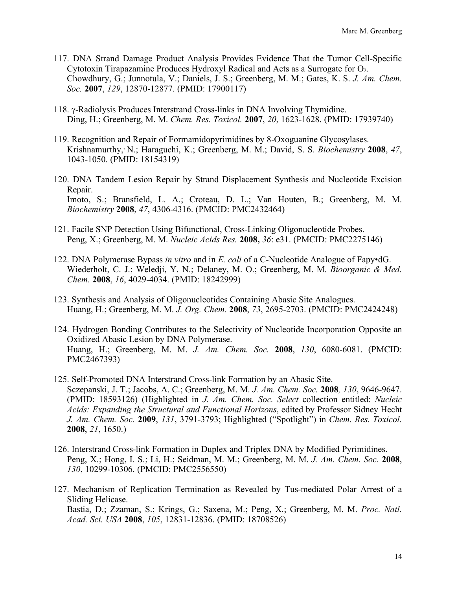- 117. DNA Strand Damage Product Analysis Provides Evidence That the Tumor Cell-Specific Cytotoxin Tirapazamine Produces Hydroxyl Radical and Acts as a Surrogate for  $O<sub>2</sub>$ . Chowdhury, G.; Junnotula, V.; Daniels, J. S.; Greenberg, M. M.; Gates, K. S. *J. Am. Chem. Soc.* **2007**, *129*, 12870-12877. (PMID: 17900117)
- 118. g-Radiolysis Produces Interstrand Cross-links in DNA Involving Thymidine. Ding, H.; Greenberg, M. M. *Chem. Res. Toxicol.* **2007**, *20*, 1623-1628. (PMID: 17939740)
- 119. Recognition and Repair of Formamidopyrimidines by 8-Oxoguanine Glycosylases. Krishnamurthy,, N.; Haraguchi, K.; Greenberg, M. M.; David, S. S. *Biochemistry* **2008**, *47*, 1043-1050. (PMID: 18154319)
- 120. DNA Tandem Lesion Repair by Strand Displacement Synthesis and Nucleotide Excision Repair. Imoto, S.; Bransfield, L. A.; Croteau, D. L.; Van Houten, B.; Greenberg, M. M. *Biochemistry* **2008**, *47*, 4306-4316. (PMCID: PMC2432464)
- 121. Facile SNP Detection Using Bifunctional, Cross-Linking Oligonucleotide Probes. Peng, X.; Greenberg, M. M. *Nucleic Acids Res.* **2008,** *36*: e31. (PMCID: PMC2275146)
- 122. DNA Polymerase Bypass *in vitro* and in *E. coli* of a C-Nucleotide Analogue of Fapy•dG. Wiederholt, C. J.; Weledji, Y. N.; Delaney, M. O.; Greenberg, M. M. *Bioorganic & Med. Chem.* **2008**, *16*, 4029-4034. (PMID: 18242999)
- 123. Synthesis and Analysis of Oligonucleotides Containing Abasic Site Analogues. Huang, H.; Greenberg, M. M. *J. Org. Chem.* **2008**, *73*, 2695-2703. (PMCID: PMC2424248)
- 124. Hydrogen Bonding Contributes to the Selectivity of Nucleotide Incorporation Opposite an Oxidized Abasic Lesion by DNA Polymerase. Huang, H.; Greenberg, M. M. *J. Am. Chem. Soc.* **2008**, *130*, 6080-6081. (PMCID: PMC2467393)
- 125. Self-Promoted DNA Interstrand Cross-link Formation by an Abasic Site. Sczepanski, J. T.; Jacobs, A. C.; Greenberg, M. M. *J. Am. Chem. Soc.* **2008***, 130*, 9646-9647. (PMID: 18593126) (Highlighted in *J. Am. Chem. Soc. Select* collection entitled: *Nucleic Acids: Expanding the Structural and Functional Horizons*, edited by Professor Sidney Hecht *J. Am. Chem. Soc.* **2009**, *131*, 3791-3793; Highlighted ("Spotlight") in *Chem. Res. Toxicol.*  **2008**, *21*, 1650.)
- 126. Interstrand Cross-link Formation in Duplex and Triplex DNA by Modified Pyrimidines. Peng, X.; Hong, I. S.; Li, H.; Seidman, M. M.; Greenberg, M. M. *J. Am. Chem. Soc.* **2008**, *130*, 10299-10306. (PMCID: PMC2556550)
- 127. Mechanism of Replication Termination as Revealed by Tus-mediated Polar Arrest of a Sliding Helicase. Bastia, D.; Zzaman, S.; Krings, G.; Saxena, M.; Peng, X.; Greenberg, M. M. *Proc. Natl. Acad. Sci. USA* **2008**, *105*, 12831-12836. (PMID: 18708526)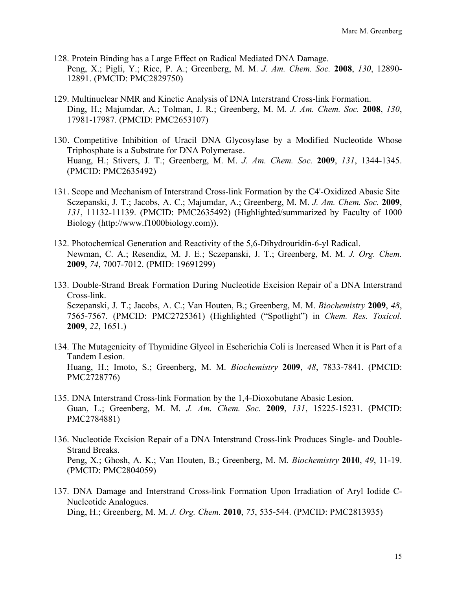- 128. Protein Binding has a Large Effect on Radical Mediated DNA Damage. Peng, X.; Pigli, Y.; Rice, P. A.; Greenberg, M. M. *J. Am. Chem. Soc.* **2008**, *130*, 12890- 12891. (PMCID: PMC2829750)
- 129. Multinuclear NMR and Kinetic Analysis of DNA Interstrand Cross-link Formation. Ding, H.; Majumdar, A.; Tolman, J. R.; Greenberg, M. M. *J. Am. Chem. Soc.* **2008**, *130*, 17981-17987. (PMCID: PMC2653107)
- 130. Competitive Inhibition of Uracil DNA Glycosylase by a Modified Nucleotide Whose Triphosphate is a Substrate for DNA Polymerase. Huang, H.; Stivers, J. T.; Greenberg, M. M. *J. Am. Chem. Soc.* **2009**, *131*, 1344-1345. (PMCID: PMC2635492)
- 131. Scope and Mechanism of Interstrand Cross-link Formation by the C4'-Oxidized Abasic Site Sczepanski, J. T.; Jacobs, A. C.; Majumdar, A.; Greenberg, M. M. *J. Am. Chem. Soc.* **2009**, *131*, 11132-11139. (PMCID: PMC2635492) (Highlighted/summarized by Faculty of 1000 Biology (http://www.f1000biology.com)).
- 132. Photochemical Generation and Reactivity of the 5,6-Dihydrouridin-6-yl Radical. Newman, C. A.; Resendiz, M. J. E.; Sczepanski, J. T.; Greenberg, M. M. *J. Org. Chem.*  **2009**, *74*, 7007-7012. (PMID: 19691299)
- 133. Double-Strand Break Formation During Nucleotide Excision Repair of a DNA Interstrand Cross-link. Sczepanski, J. T.; Jacobs, A. C.; Van Houten, B.; Greenberg, M. M. *Biochemistry* **2009**, *48*, 7565-7567. (PMCID: PMC2725361) (Highlighted ("Spotlight") in *Chem. Res. Toxicol.* **2009**, *22*, 1651.)
- 134. The Mutagenicity of Thymidine Glycol in Escherichia Coli is Increased When it is Part of a Tandem Lesion. Huang, H.; Imoto, S.; Greenberg, M. M. *Biochemistry* **2009**, *48*, 7833-7841. (PMCID: PMC2728776)
- 135. DNA Interstrand Cross-link Formation by the 1,4-Dioxobutane Abasic Lesion. Guan, L.; Greenberg, M. M. *J. Am. Chem. Soc.* **2009**, *131*, 15225-15231. (PMCID: PMC2784881)
- 136. Nucleotide Excision Repair of a DNA Interstrand Cross-link Produces Single- and Double-Strand Breaks. Peng, X.; Ghosh, A. K.; Van Houten, B.; Greenberg, M. M. *Biochemistry* **2010**, *49*, 11-19. (PMCID: PMC2804059)
- 137. DNA Damage and Interstrand Cross-link Formation Upon Irradiation of Aryl Iodide C-Nucleotide Analogues. Ding, H.; Greenberg, M. M. *J. Org. Chem.* **2010**, *75*, 535-544. (PMCID: PMC2813935)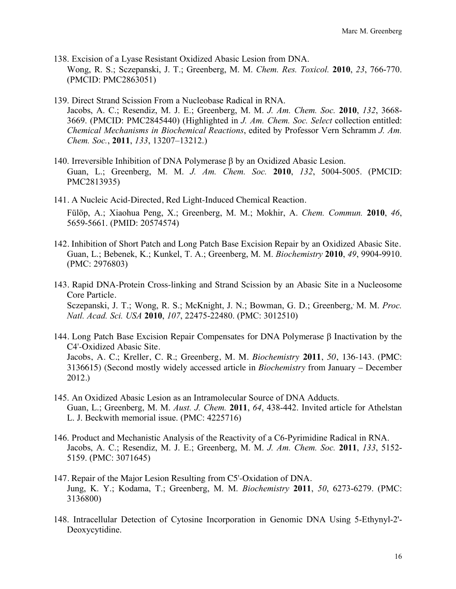- 138. Excision of a Lyase Resistant Oxidized Abasic Lesion from DNA. Wong, R. S.; Sczepanski, J. T.; Greenberg, M. M. *Chem. Res. Toxicol.* **2010**, *23*, 766-770. (PMCID: PMC2863051)
- 139. Direct Strand Scission From a Nucleobase Radical in RNA. Jacobs, A. C.; Resendiz, M. J. E.; Greenberg, M. M. *J. Am. Chem. Soc.* **2010**, *132*, 3668- 3669. (PMCID: PMC2845440) (Highlighted in *J. Am. Chem. Soc. Select* collection entitled: *Chemical Mechanisms in Biochemical Reactions*, edited by Professor Vern Schramm *J. Am. Chem. Soc.*, **2011**, *133*, 13207–13212.)
- 140. Irreversible Inhibition of DNA Polymerase  $\beta$  by an Oxidized Abasic Lesion. Guan, L.; Greenberg, M. M. *J. Am. Chem. Soc.* **2010**, *132*, 5004-5005. (PMCID: PMC2813935)
- 141. A Nucleic Acid-Directed, Red Light-Induced Chemical Reaction. Fülöp, A.; Xiaohua Peng, X.; Greenberg, M. M.; Mokhir, A. *Chem. Commun.* **2010**, *46*, 5659-5661. (PMID: 20574574)
- 142. Inhibition of Short Patch and Long Patch Base Excision Repair by an Oxidized Abasic Site. Guan, L.; Bebenek, K.; Kunkel, T. A.; Greenberg, M. M. *Biochemistry* **2010**, *49*, 9904-9910. (PMC: 2976803)
- 143. Rapid DNA-Protein Cross-linking and Strand Scission by an Abasic Site in a Nucleosome Core Particle. Sczepanski, J. T.; Wong, R. S.; McKnight, J. N.; Bowman, G. D.; Greenberg, M. M. Proc. *Natl. Acad. Sci. USA* **2010**, *107*, 22475-22480. (PMC: 3012510)
- 144. Long Patch Base Excision Repair Compensates for DNA Polymerase  $\beta$  Inactivation by the C4'-Oxidized Abasic Site. Jacobs, A. C.; Kreller, C. R.; Greenberg, M. M. *Biochemistry* **2011**, *50*, 136-143. (PMC: 3136615) (Second mostly widely accessed article in *Biochemistry* from January – December 2012.)
- 145. An Oxidized Abasic Lesion as an Intramolecular Source of DNA Adducts. Guan, L.; Greenberg, M. M. *Aust. J. Chem.* **2011**, *64*, 438-442. Invited article for Athelstan L. J. Beckwith memorial issue. (PMC: 4225716)
- 146. Product and Mechanistic Analysis of the Reactivity of a C6-Pyrimidine Radical in RNA. Jacobs, A. C.; Resendiz, M. J. E.; Greenberg, M. M. *J. Am. Chem. Soc.* **2011**, *133*, 5152- 5159. (PMC: 3071645)
- 147. Repair of the Major Lesion Resulting from C5'-Oxidation of DNA. Jung, K. Y.; Kodama, T.; Greenberg, M. M. *Biochemistry* **2011**, *50*, 6273-6279. (PMC: 3136800)
- 148. Intracellular Detection of Cytosine Incorporation in Genomic DNA Using 5-Ethynyl-2'- Deoxycytidine.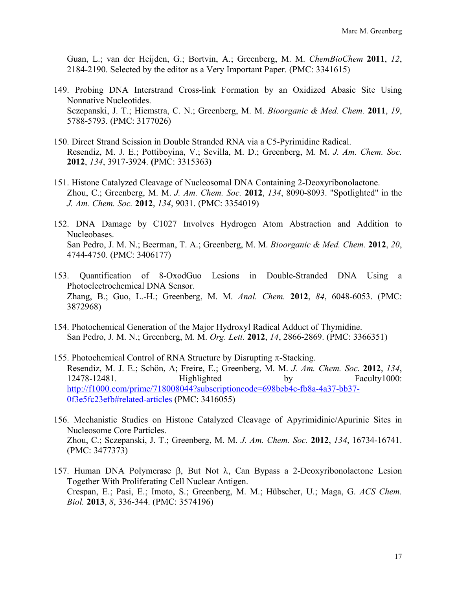Guan, L.; van der Heijden, G.; Bortvin, A.; Greenberg, M. M. *ChemBioChem* **2011**, *12*, 2184-2190. Selected by the editor as a Very Important Paper. (PMC: 3341615)

- 149. Probing DNA Interstrand Cross-link Formation by an Oxidized Abasic Site Using Nonnative Nucleotides. Sczepanski, J. T.; Hiemstra, C. N.; Greenberg, M. M. *Bioorganic & Med. Chem.* **2011**, *19*, 5788-5793. (PMC: 3177026)
- 150. Direct Strand Scission in Double Stranded RNA via a C5-Pyrimidine Radical. Resendiz, M. J. E.; Pottiboyina, V.; Sevilla, M. D.; Greenberg, M. M. *J. Am. Chem. Soc.*  **2012**, *134*, 3917-3924. **(**PMC: 3315363**)**
- 151. Histone Catalyzed Cleavage of Nucleosomal DNA Containing 2-Deoxyribonolactone. Zhou, C.; Greenberg, M. M. *J. Am. Chem. Soc.* **2012**, *134*, 8090-8093. "Spotlighted" in the *J. Am. Chem. Soc.* **2012**, *134*, 9031. (PMC: 3354019)
- 152. DNA Damage by C1027 Involves Hydrogen Atom Abstraction and Addition to Nucleobases. San Pedro, J. M. N.; Beerman, T. A.; Greenberg, M. M. *Bioorganic & Med. Chem.* **2012**, *20*, 4744-4750. (PMC: 3406177)
- 153. Quantification of 8-OxodGuo Lesions in Double-Stranded DNA Using a Photoelectrochemical DNA Sensor. Zhang, B.; Guo, L.-H.; Greenberg, M. M. *Anal. Chem.* **2012**, *84*, 6048-6053. (PMC: 3872968)
- 154. Photochemical Generation of the Major Hydroxyl Radical Adduct of Thymidine. San Pedro, J. M. N.; Greenberg, M. M. *Org. Lett.* **2012**, *14*, 2866-2869. (PMC: 3366351)
- 155. Photochemical Control of RNA Structure by Disrupting  $\pi$ -Stacking. Resendiz, M. J. E.; Schön, A; Freire, E.; Greenberg, M. M. *J. Am. Chem. Soc.* **2012**, *134*, 12478-12481. Highlighted by Faculty1000: http://f1000.com/prime/718008044?subscriptioncode=698beb4c-fb8a-4a37-bb37- 0f3e5fc23efb#related-articles (PMC: 3416055)
- 156. Mechanistic Studies on Histone Catalyzed Cleavage of Apyrimidinic/Apurinic Sites in Nucleosome Core Particles. Zhou, C.; Sczepanski, J. T.; Greenberg, M. M. *J. Am. Chem. Soc.* **2012**, *134*, 16734-16741. (PMC: 3477373)
- 157. Human DNA Polymerase  $\beta$ , But Not  $\lambda$ , Can Bypass a 2-Deoxyribonolactone Lesion Together With Proliferating Cell Nuclear Antigen. Crespan, E.; Pasi, E.; Imoto, S.; Greenberg, M. M.; Hübscher, U.; Maga, G. *ACS Chem. Biol.* **2013**, *8*, 336-344. (PMC: 3574196)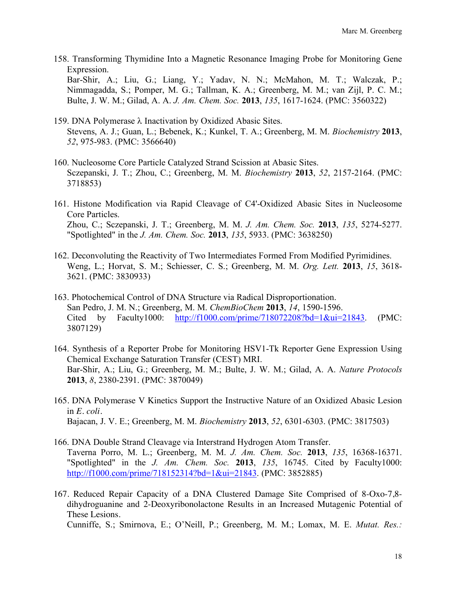158. Transforming Thymidine Into a Magnetic Resonance Imaging Probe for Monitoring Gene Expression.

Bar-Shir, A.; Liu, G.; Liang, Y.; Yadav, N. N.; McMahon, M. T.; Walczak, P.; Nimmagadda, S.; Pomper, M. G.; Tallman, K. A.; Greenberg, M. M.; van Zijl, P. C. M.; Bulte, J. W. M.; Gilad, A. A. *J. Am. Chem. Soc.* **2013**, *135*, 1617-1624. (PMC: 3560322)

- 159. DNA Polymerase  $\lambda$  Inactivation by Oxidized Abasic Sites. Stevens, A. J.; Guan, L.; Bebenek, K.; Kunkel, T. A.; Greenberg, M. M. *Biochemistry* **2013**, *52*, 975-983. (PMC: 3566640)
- 160. Nucleosome Core Particle Catalyzed Strand Scission at Abasic Sites. Sczepanski, J. T.; Zhou, C.; Greenberg, M. M. *Biochemistry* **2013**, *52*, 2157-2164. (PMC: 3718853)
- 161. Histone Modification via Rapid Cleavage of C4'-Oxidized Abasic Sites in Nucleosome Core Particles. Zhou, C.; Sczepanski, J. T.; Greenberg, M. M. *J. Am. Chem. Soc.* **2013**, *135*, 5274-5277. "Spotlighted" in the *J. Am. Chem. Soc.* **2013**, *135*, 5933. (PMC: 3638250)
- 162. Deconvoluting the Reactivity of Two Intermediates Formed From Modified Pyrimidines. Weng, L.; Horvat, S. M.; Schiesser, C. S.; Greenberg, M. M. *Org. Lett.* **2013**, *15*, 3618- 3621. (PMC: 3830933)
- 163. Photochemical Control of DNA Structure via Radical Disproportionation. San Pedro, J. M. N.; Greenberg, M. M. *ChemBioChem* **2013**, *14*, 1590-1596. Cited by Faculty1000: http://f1000.com/prime/718072208?bd=1&ui=21843. (PMC: 3807129)
- 164. Synthesis of a Reporter Probe for Monitoring HSV1-Tk Reporter Gene Expression Using Chemical Exchange Saturation Transfer (CEST) MRI. Bar-Shir, A.; Liu, G.; Greenberg, M. M.; Bulte, J. W. M.; Gilad, A. A. *Nature Protocols* **2013**, *8*, 2380-2391. (PMC: 3870049)
- 165. DNA Polymerase V Kinetics Support the Instructive Nature of an Oxidized Abasic Lesion in *E. coli*. Bajacan, J. V. E.; Greenberg, M. M. *Biochemistry* **2013**, *52*, 6301-6303. (PMC: 3817503)
- 166. DNA Double Strand Cleavage via Interstrand Hydrogen Atom Transfer. Taverna Porro, M. L.; Greenberg, M. M. *J. Am. Chem. Soc.* **2013**, *135*, 16368-16371. "Spotlighted" in the *J. Am. Chem. Soc.* **2013**, *135*, 16745. Cited by Faculty1000: http://f1000.com/prime/718152314?bd=1&ui=21843. (PMC: 3852885)
- 167. Reduced Repair Capacity of a DNA Clustered Damage Site Comprised of 8-Oxo-7,8 dihydroguanine and 2-Deoxyribonolactone Results in an Increased Mutagenic Potential of These Lesions. Cunniffe, S.; Smirnova, E.; O'Neill, P.; Greenberg, M. M.; Lomax, M. E. *Mutat. Res.:*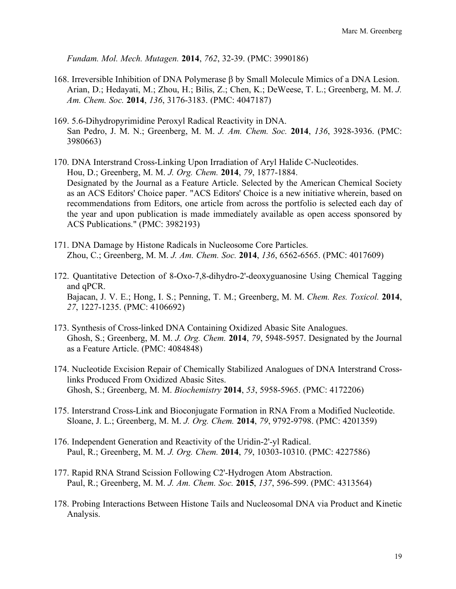*Fundam. Mol. Mech. Mutagen.* **2014**, *762*, 32-39. (PMC: 3990186)

- 168. Irreversible Inhibition of DNA Polymerase  $\beta$  by Small Molecule Mimics of a DNA Lesion. Arian, D.; Hedayati, M.; Zhou, H.; Bilis, Z.; Chen, K.; DeWeese, T. L.; Greenberg, M. M. *J. Am. Chem. Soc.* **2014**, *136*, 3176-3183. (PMC: 4047187)
- 169. 5.6-Dihydropyrimidine Peroxyl Radical Reactivity in DNA. San Pedro, J. M. N.; Greenberg, M. M. *J. Am. Chem. Soc.* **2014**, *136*, 3928-3936. (PMC: 3980663)
- 170. DNA Interstrand Cross-Linking Upon Irradiation of Aryl Halide C-Nucleotides. Hou, D.; Greenberg, M. M. *J. Org. Chem.* **2014**, *79*, 1877-1884. Designated by the Journal as a Feature Article. Selected by the American Chemical Society as an ACS Editors' Choice paper. "ACS Editors' Choice is a new initiative wherein, based on recommendations from Editors, one article from across the portfolio is selected each day of the year and upon publication is made immediately available as open access sponsored by ACS Publications." (PMC: 3982193)
- 171. DNA Damage by Histone Radicals in Nucleosome Core Particles. Zhou, C.; Greenberg, M. M. *J. Am. Chem. Soc.* **2014**, *136*, 6562-6565. (PMC: 4017609)
- 172. Quantitative Detection of 8-Oxo-7,8-dihydro-2'-deoxyguanosine Using Chemical Tagging and qPCR. Bajacan, J. V. E.; Hong, I. S.; Penning, T. M.; Greenberg, M. M. *Chem. Res. Toxicol.* **2014**, *27*, 1227-1235. (PMC: 4106692)
- 173. Synthesis of Cross-linked DNA Containing Oxidized Abasic Site Analogues. Ghosh, S.; Greenberg, M. M. *J. Org. Chem.* **2014**, *79*, 5948-5957. Designated by the Journal as a Feature Article. (PMC: 4084848)
- 174. Nucleotide Excision Repair of Chemically Stabilized Analogues of DNA Interstrand Crosslinks Produced From Oxidized Abasic Sites. Ghosh, S.; Greenberg, M. M. *Biochemistry* **2014**, *53*, 5958-5965. (PMC: 4172206)
- 175. Interstrand Cross-Link and Bioconjugate Formation in RNA From a Modified Nucleotide. Sloane, J. L.; Greenberg, M. M. *J. Org. Chem.* **2014**, *79*, 9792-9798. (PMC: 4201359)
- 176. Independent Generation and Reactivity of the Uridin-2'-yl Radical. Paul, R.; Greenberg, M. M. *J. Org. Chem.* **2014**, *79*, 10303-10310. (PMC: 4227586)
- 177. Rapid RNA Strand Scission Following C2'-Hydrogen Atom Abstraction. Paul, R.; Greenberg, M. M. *J. Am. Chem. Soc.* **2015**, *137*, 596-599. (PMC: 4313564)
- 178. Probing Interactions Between Histone Tails and Nucleosomal DNA via Product and Kinetic Analysis.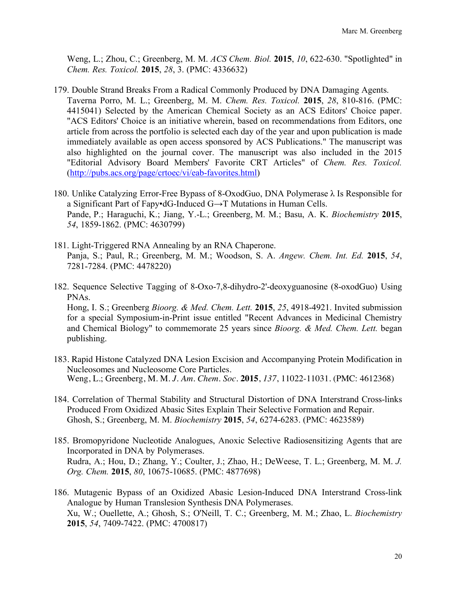Weng, L.; Zhou, C.; Greenberg, M. M. *ACS Chem. Biol.* **2015**, *10*, 622-630. "Spotlighted" in *Chem. Res. Toxicol.* **2015**, *28*, 3. (PMC: 4336632)

- 179. Double Strand Breaks From a Radical Commonly Produced by DNA Damaging Agents. Taverna Porro, M. L.; Greenberg, M. M. *Chem. Res. Toxicol.* **2015**, *28*, 810-816. (PMC: 4415041) Selected by the American Chemical Society as an ACS Editors' Choice paper. "ACS Editors' Choice is an initiative wherein, based on recommendations from Editors, one article from across the portfolio is selected each day of the year and upon publication is made immediately available as open access sponsored by ACS Publications." The manuscript was also highlighted on the journal cover. The manuscript was also included in the 2015 "Editorial Advisory Board Members' Favorite CRT Articles" of *Chem. Res. Toxicol.* (http://pubs.acs.org/page/crtoec/vi/eab-favorites.html)
- 180. Unlike Catalyzing Error-Free Bypass of 8-OxodGuo, DNA Polymerase λ Is Responsible for a Significant Part of Fapy•dG-Induced G→T Mutations in Human Cells. Pande, P.; Haraguchi, K.; Jiang, Y.-L.; Greenberg, M. M.; Basu, A. K. *Biochemistry* **2015**, *54*, 1859-1862. (PMC: 4630799)
- 181. Light-Triggered RNA Annealing by an RNA Chaperone. Panja, S.; Paul, R.; Greenberg, M. M.; Woodson, S. A. *Angew. Chem. Int. Ed.* **2015**, *54*, 7281-7284. (PMC: 4478220)
- 182. Sequence Selective Tagging of 8-Oxo-7,8-dihydro-2'-deoxyguanosine (8-oxodGuo) Using PNAs.

Hong, I. S.; Greenberg *Bioorg. & Med. Chem. Lett.* **2015**, *25*, 4918-4921. Invited submission for a special Symposium-in-Print issue entitled "Recent Advances in Medicinal Chemistry and Chemical Biology" to commemorate 25 years since *Bioorg. & Med. Chem. Lett.* began publishing.

- 183. Rapid Histone Catalyzed DNA Lesion Excision and Accompanying Protein Modification in Nucleosomes and Nucleosome Core Particles. Weng, L.; Greenberg, M. M. *J. Am. Chem. Soc.* **2015**, *137*, 11022-11031. (PMC: 4612368)
- 184. Correlation of Thermal Stability and Structural Distortion of DNA Interstrand Cross-links Produced From Oxidized Abasic Sites Explain Their Selective Formation and Repair. Ghosh, S.; Greenberg, M. M. *Biochemistry* **2015**, *54*, 6274-6283. (PMC: 4623589)
- 185. Bromopyridone Nucleotide Analogues, Anoxic Selective Radiosensitizing Agents that are Incorporated in DNA by Polymerases. Rudra, A.; Hou, D.; Zhang, Y.; Coulter, J.; Zhao, H.; DeWeese, T. L.; Greenberg, M. M. *J. Org. Chem.* **2015**, *80*, 10675-10685. (PMC: 4877698)
- 186. Mutagenic Bypass of an Oxidized Abasic Lesion-Induced DNA Interstrand Cross-link Analogue by Human Translesion Synthesis DNA Polymerases. Xu, W.; Ouellette, A.; Ghosh, S.; O'Neill, T. C.; Greenberg, M. M.; Zhao, L. *Biochemistry*  **2015**, *54*, 7409-7422. (PMC: 4700817)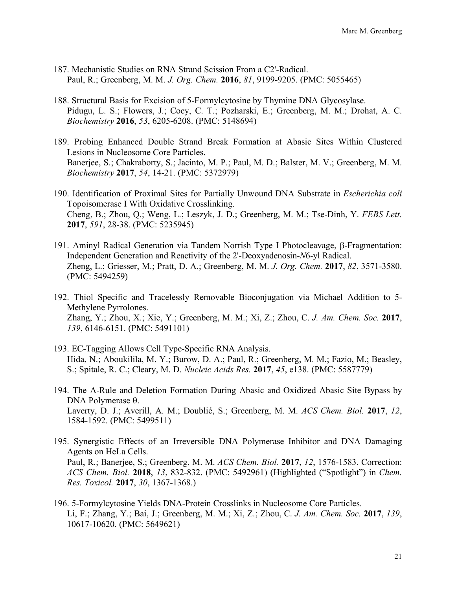- 187. Mechanistic Studies on RNA Strand Scission From a C2'-Radical. Paul, R.; Greenberg, M. M. *J. Org. Chem.* **2016**, *81*, 9199-9205. (PMC: 5055465)
- 188. Structural Basis for Excision of 5-Formylcytosine by Thymine DNA Glycosylase. Pidugu, L. S.; Flowers, J.; Coey, C. T.; Pozharski, E.; Greenberg, M. M.; Drohat, A. C. *Biochemistry* **2016**, *53*, 6205-6208. (PMC: 5148694)
- 189. Probing Enhanced Double Strand Break Formation at Abasic Sites Within Clustered Lesions in Nucleosome Core Particles. Banerjee, S.; Chakraborty, S.; Jacinto, M. P.; Paul, M. D.; Balster, M. V.; Greenberg, M. M. *Biochemistry* **2017**, *54*, 14-21. (PMC: 5372979)
- 190. Identification of Proximal Sites for Partially Unwound DNA Substrate in *Escherichia coli*  Topoisomerase I With Oxidative Crosslinking. Cheng, B.; Zhou, Q.; Weng, L.; Leszyk, J. D.; Greenberg, M. M.; Tse-Dinh, Y. *FEBS Lett.* **2017**, *591*, 28-38. (PMC: 5235945)
- 191. Aminyl Radical Generation via Tandem Norrish Type I Photocleavage, β-Fragmentation: Independent Generation and Reactivity of the 2'-Deoxyadenosin-*N*6-yl Radical. Zheng, L.; Griesser, M.; Pratt, D. A.; Greenberg, M. M. *J. Org. Chem.* **2017**, *82*, 3571-3580. (PMC: 5494259)
- 192. Thiol Specific and Tracelessly Removable Bioconjugation via Michael Addition to 5- Methylene Pyrrolones. Zhang, Y.; Zhou, X.; Xie, Y.; Greenberg, M. M.; Xi, Z.; Zhou, C. *J. Am. Chem. Soc.* **2017**, *139*, 6146-6151. (PMC: 5491101)
- 193. EC-Tagging Allows Cell Type-Specific RNA Analysis. Hida, N.; Aboukilila, M. Y.; Burow, D. A.; Paul, R.; Greenberg, M. M.; Fazio, M.; Beasley, S.; Spitale, R. C.; Cleary, M. D. *Nucleic Acids Res.* **2017**, *45*, e138. (PMC: 5587779)
- 194. The A-Rule and Deletion Formation During Abasic and Oxidized Abasic Site Bypass by DNA Polymerase  $\theta$ . Laverty, D. J.; Averill, A. M.; Doublié, S.; Greenberg, M. M. *ACS Chem. Biol.* **2017**, *12*, 1584-1592. (PMC: 5499511)
- 195. Synergistic Effects of an Irreversible DNA Polymerase Inhibitor and DNA Damaging Agents on HeLa Cells. Paul, R.; Banerjee, S.; Greenberg, M. M. *ACS Chem. Biol.* **2017**, *12*, 1576-1583. Correction: *ACS Chem. Biol.* **2018**, *13*, 832-832. (PMC: 5492961) (Highlighted ("Spotlight") in *Chem. Res. Toxicol.* **2017**, *30*, 1367-1368.)
- 196. 5-Formylcytosine Yields DNA-Protein Crosslinks in Nucleosome Core Particles. Li, F.; Zhang, Y.; Bai, J.; Greenberg, M. M.; Xi, Z.; Zhou, C. *J. Am. Chem. Soc.* **2017**, *139*, 10617-10620. (PMC: 5649621)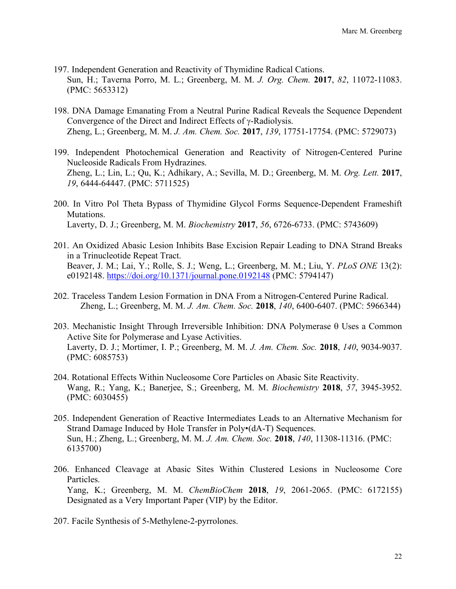- 197. Independent Generation and Reactivity of Thymidine Radical Cations. Sun, H.; Taverna Porro, M. L.; Greenberg, M. M. *J. Org. Chem.* **2017**, *82*, 11072-11083. (PMC: 5653312)
- 198. DNA Damage Emanating From a Neutral Purine Radical Reveals the Sequence Dependent Convergence of the Direct and Indirect Effects of  $\gamma$ -Radiolysis. Zheng, L.; Greenberg, M. M. *J. Am. Chem. Soc.* **2017**, *139*, 17751-17754. (PMC: 5729073)
- 199. Independent Photochemical Generation and Reactivity of Nitrogen-Centered Purine Nucleoside Radicals From Hydrazines. Zheng, L.; Lin, L.; Qu, K.; Adhikary, A.; Sevilla, M. D.; Greenberg, M. M. *Org. Lett.* **2017**, *19*, 6444-64447. (PMC: 5711525)
- 200. In Vitro Pol Theta Bypass of Thymidine Glycol Forms Sequence-Dependent Frameshift Mutations. Laverty, D. J.; Greenberg, M. M. *Biochemistry* **2017**, *56*, 6726-6733. (PMC: 5743609)
- 201. An Oxidized Abasic Lesion Inhibits Base Excision Repair Leading to DNA Strand Breaks in a Trinucleotide Repeat Tract. Beaver, J. M.; Lai, Y.; Rolle, S. J.; Weng, L.; Greenberg, M. M.; Liu, Y. *PLoS ONE* 13(2): e0192148. https://doi.org/10.1371/journal.pone.0192148 (PMC: 5794147)
- 202. Traceless Tandem Lesion Formation in DNA From a Nitrogen-Centered Purine Radical. Zheng, L.; Greenberg, M. M. *J. Am. Chem. Soc.* **2018**, *140*, 6400-6407. (PMC: 5966344)
- 203. Mechanistic Insight Through Irreversible Inhibition: DNA Polymerase  $\theta$  Uses a Common Active Site for Polymerase and Lyase Activities. Laverty, D. J.; Mortimer, I. P.; Greenberg, M. M. *J. Am. Chem. Soc.* **2018**, *140*, 9034-9037. (PMC: 6085753)
- 204. Rotational Effects Within Nucleosome Core Particles on Abasic Site Reactivity. Wang, R.; Yang, K.; Banerjee, S.; Greenberg, M. M. *Biochemistry* **2018**, *57*, 3945-3952. (PMC: 6030455)
- 205. Independent Generation of Reactive Intermediates Leads to an Alternative Mechanism for Strand Damage Induced by Hole Transfer in Poly•(dA-T) Sequences. Sun, H.; Zheng, L.; Greenberg, M. M. *J. Am. Chem. Soc.* **2018**, *140*, 11308-11316. (PMC: 6135700)
- 206. Enhanced Cleavage at Abasic Sites Within Clustered Lesions in Nucleosome Core Particles. Yang, K.; Greenberg, M. M. *ChemBioChem* **2018**, *19*, 2061-2065. (PMC: 6172155) Designated as a Very Important Paper (VIP) by the Editor.
- 207. Facile Synthesis of 5-Methylene-2-pyrrolones.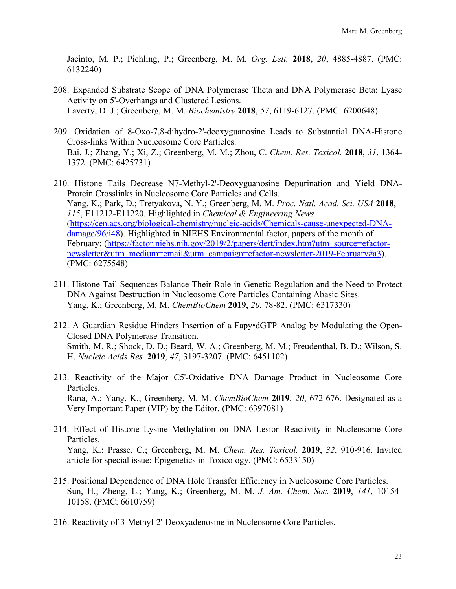Jacinto, M. P.; Pichling, P.; Greenberg, M. M. *Org. Lett.* **2018**, *20*, 4885-4887. (PMC: 6132240)

- 208. Expanded Substrate Scope of DNA Polymerase Theta and DNA Polymerase Beta: Lyase Activity on 5'-Overhangs and Clustered Lesions. Laverty, D. J.; Greenberg, M. M. *Biochemistry* **2018**, *57*, 6119-6127. (PMC: 6200648)
- 209. Oxidation of 8-Oxo-7,8-dihydro-2'-deoxyguanosine Leads to Substantial DNA-Histone Cross-links Within Nucleosome Core Particles. Bai, J.; Zhang, Y.; Xi, Z.; Greenberg, M. M.; Zhou, C. *Chem. Res. Toxicol.* **2018**, *31*, 1364- 1372. (PMC: 6425731)
- 210. Histone Tails Decrease N7-Methyl-2'-Deoxyguanosine Depurination and Yield DNA-Protein Crosslinks in Nucleosome Core Particles and Cells. Yang, K.; Park, D.; Tretyakova, N. Y.; Greenberg, M. M. *Proc. Natl. Acad. Sci. USA* **2018**, *115*, E11212-E11220. Highlighted in *Chemical & Engineering News* (https://cen.acs.org/biological-chemistry/nucleic-acids/Chemicals-cause-unexpected-DNAdamage/96/i48). Highlighted in NIEHS Environmental factor, papers of the month of February: (https://factor.niehs.nih.gov/2019/2/papers/dert/index.htm?utm\_source=efactornewsletter&utm\_medium=email&utm\_campaign=efactor-newsletter-2019-February#a3). (PMC: 6275548)
- 211. Histone Tail Sequences Balance Their Role in Genetic Regulation and the Need to Protect DNA Against Destruction in Nucleosome Core Particles Containing Abasic Sites. Yang, K.; Greenberg, M. M. *ChemBioChem* **2019**, *20*, 78-82. (PMC: 6317330)
- 212. A Guardian Residue Hinders Insertion of a Fapy•dGTP Analog by Modulating the Open-Closed DNA Polymerase Transition. Smith, M. R.; Shock, D. D.; Beard, W. A.; Greenberg, M. M.; Freudenthal, B. D.; Wilson, S. H. *Nucleic Acids Res.* **2019**, *47*, 3197-3207. (PMC: 6451102)
- 213. Reactivity of the Major C5'-Oxidative DNA Damage Product in Nucleosome Core Particles. Rana, A.; Yang, K.; Greenberg, M. M. *ChemBioChem* **2019**, *20*, 672-676. Designated as a Very Important Paper (VIP) by the Editor. (PMC: 6397081)
- 214. Effect of Histone Lysine Methylation on DNA Lesion Reactivity in Nucleosome Core Particles. Yang, K.; Prasse, C.; Greenberg, M. M. *Chem. Res. Toxicol.* **2019**, *32*, 910-916. Invited article for special issue: Epigenetics in Toxicology. (PMC: 6533150)
- 215. Positional Dependence of DNA Hole Transfer Efficiency in Nucleosome Core Particles. Sun, H.; Zheng, L.; Yang, K.; Greenberg, M. M. *J. Am. Chem. Soc.* **2019**, *141*, 10154- 10158. (PMC: 6610759)
- 216. Reactivity of 3-Methyl-2'-Deoxyadenosine in Nucleosome Core Particles.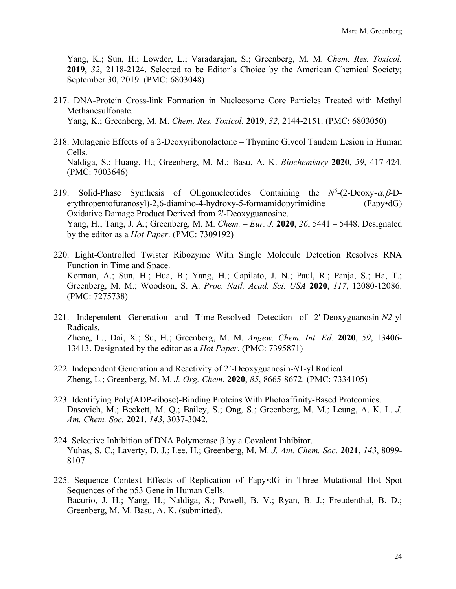Yang, K.; Sun, H.; Lowder, L.; Varadarajan, S.; Greenberg, M. M. *Chem. Res. Toxicol.*  **2019**, *32*, 2118-2124. Selected to be Editor's Choice by the American Chemical Society; September 30, 2019. (PMC: 6803048)

- 217. DNA-Protein Cross-link Formation in Nucleosome Core Particles Treated with Methyl Methanesulfonate. Yang, K.; Greenberg, M. M. *Chem. Res. Toxicol.* **2019**, *32*, 2144-2151. (PMC: 6803050)
- 218. Mutagenic Effects of a 2-Deoxyribonolactone Thymine Glycol Tandem Lesion in Human Cells. Naldiga, S.; Huang, H.; Greenberg, M. M.; Basu, A. K. *Biochemistry* **2020**, *59*, 417-424. (PMC: 7003646)
- 219. Solid-Phase Synthesis of Oligonucleotides Containing the  $N^6$ -(2-Deoxy- $\alpha, \beta$ -Derythropentofuranosyl)-2,6-diamino-4-hydroxy-5-formamidopyrimidine (Fapy•dG) Oxidative Damage Product Derived from 2'-Deoxyguanosine. Yang, H.; Tang, J. A.; Greenberg, M. M. *Chem. – Eur. J.* **2020**, *26*, 5441 – 5448. Designated by the editor as a *Hot Paper*. (PMC: 7309192)
- 220. Light-Controlled Twister Ribozyme With Single Molecule Detection Resolves RNA Function in Time and Space. Korman, A.; Sun, H.; Hua, B.; Yang, H.; Capilato, J. N.; Paul, R.; Panja, S.; Ha, T.; Greenberg, M. M.; Woodson, S. A. *Proc. Natl. Acad. Sci. USA* **2020**, *117*, 12080-12086. (PMC: 7275738)
- 221. Independent Generation and Time-Resolved Detection of 2'-Deoxyguanosin-*N2*-yl Radicals. Zheng, L.; Dai, X.; Su, H.; Greenberg, M. M. *Angew. Chem. Int. Ed.* **2020**, *59*, 13406- 13413. Designated by the editor as a *Hot Paper*. (PMC: 7395871)
- 222. Independent Generation and Reactivity of 2'-Deoxyguanosin-*N*1-yl Radical. Zheng, L.; Greenberg, M. M. *J. Org. Chem.* **2020**, *85*, 8665-8672. (PMC: 7334105)
- 223. Identifying Poly(ADP-ribose)-Binding Proteins With Photoaffinity-Based Proteomics. Dasovich, M.; Beckett, M. Q.; Bailey, S.; Ong, S.; Greenberg, M. M.; Leung, A. K. L. *J. Am. Chem. Soc.* **2021**, *143*, 3037-3042.
- 224. Selective Inhibition of DNA Polymerase  $\beta$  by a Covalent Inhibitor. Yuhas, S. C.; Laverty, D. J.; Lee, H.; Greenberg, M. M. *J. Am. Chem. Soc.* **2021**, *143*, 8099- 8107.
- 225. Sequence Context Effects of Replication of Fapy•dG in Three Mutational Hot Spot Sequences of the p53 Gene in Human Cells. Bacurio, J. H.; Yang, H.; Naldiga, S.; Powell, B. V.; Ryan, B. J.; Freudenthal, B. D.; Greenberg, M. M. Basu, A. K. (submitted).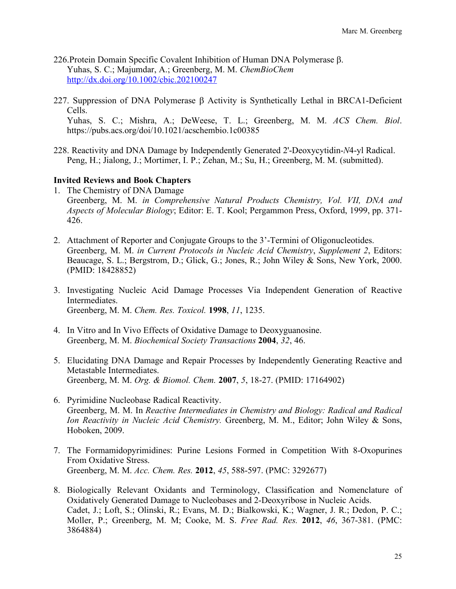- 226.Protein Domain Specific Covalent Inhibition of Human DNA Polymerase b. Yuhas, S. C.; Majumdar, A.; Greenberg, M. M. *ChemBioChem* http://dx.doi.org/10.1002/cbic.202100247
- 227. Suppression of DNA Polymerase  $\beta$  Activity is Synthetically Lethal in BRCA1-Deficient Cells. Yuhas, S. C.; Mishra, A.; DeWeese, T. L.; Greenberg, M. M. *ACS Chem. Biol*.

https://pubs.acs.org/doi/10.1021/acschembio.1c00385

228. Reactivity and DNA Damage by Independently Generated 2'-Deoxycytidin-*N*4-yl Radical. Peng, H.; Jialong, J.; Mortimer, I. P.; Zehan, M.; Su, H.; Greenberg, M. M. (submitted).

# **Invited Reviews and Book Chapters**

- 1. The Chemistry of DNA Damage Greenberg, M. M. *in Comprehensive Natural Products Chemistry, Vol. VII, DNA and Aspects of Molecular Biology*; Editor: E. T. Kool; Pergammon Press, Oxford, 1999, pp. 371- 426.
- 2. Attachment of Reporter and Conjugate Groups to the 3'-Termini of Oligonucleotides. Greenberg, M. M. *in Current Protocols in Nucleic Acid Chemistry*, *Supplement 2*, Editors: Beaucage, S. L.; Bergstrom, D.; Glick, G.; Jones, R.; John Wiley & Sons, New York, 2000. (PMID: 18428852)
- 3. Investigating Nucleic Acid Damage Processes Via Independent Generation of Reactive Intermediates. Greenberg, M. M. *Chem. Res. Toxicol.* **1998**, *11*, 1235.
- 4. In Vitro and In Vivo Effects of Oxidative Damage to Deoxyguanosine. Greenberg, M. M. *Biochemical Society Transactions* **2004**, *32*, 46.
- 5. Elucidating DNA Damage and Repair Processes by Independently Generating Reactive and Metastable Intermediates. Greenberg, M. M. *Org. & Biomol. Chem.* **2007**, *5*, 18-27. (PMID: 17164902)
- 6. Pyrimidine Nucleobase Radical Reactivity. Greenberg, M. M. In *Reactive Intermediates in Chemistry and Biology: Radical and Radical Ion Reactivity in Nucleic Acid Chemistry.* Greenberg, M. M., Editor; John Wiley & Sons, Hoboken, 2009.
- 7. The Formamidopyrimidines: Purine Lesions Formed in Competition With 8-Oxopurines From Oxidative Stress. Greenberg, M. M. *Acc. Chem. Res.* **2012**, *45*, 588-597. (PMC: 3292677)
- 8. Biologically Relevant Oxidants and Terminology, Classification and Nomenclature of Oxidatively Generated Damage to Nucleobases and 2-Deoxyribose in Nucleic Acids. Cadet, J.; Loft, S.; Olinski, R.; Evans, M. D.; Bialkowski, K.; Wagner, J. R.; Dedon, P. C.; Moller, P.; Greenberg, M. M; Cooke, M. S. *Free Rad. Res.* **2012**, *46*, 367-381. (PMC: 3864884)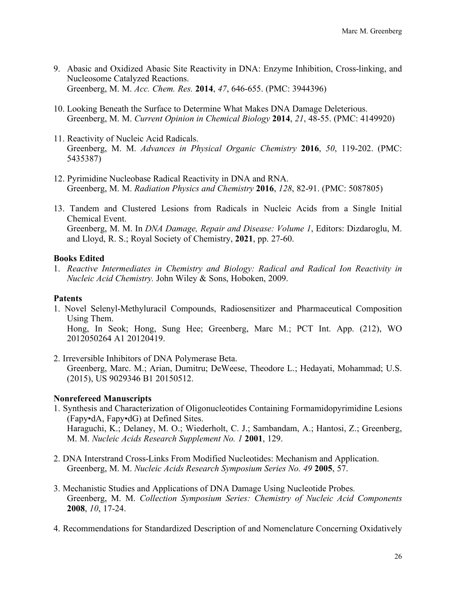- 9. Abasic and Oxidized Abasic Site Reactivity in DNA: Enzyme Inhibition, Cross-linking, and Nucleosome Catalyzed Reactions. Greenberg, M. M. *Acc. Chem. Res.* **2014**, *47*, 646-655. (PMC: 3944396)
- 10. Looking Beneath the Surface to Determine What Makes DNA Damage Deleterious. Greenberg, M. M. *Current Opinion in Chemical Biology* **2014**, *21*, 48-55. (PMC: 4149920)
- 11. Reactivity of Nucleic Acid Radicals. Greenberg, M. M. *Advances in Physical Organic Chemistry* **2016**, *50*, 119-202. (PMC: 5435387)
- 12. Pyrimidine Nucleobase Radical Reactivity in DNA and RNA. Greenberg, M. M. *Radiation Physics and Chemistry* **2016**, *128*, 82-91. (PMC: 5087805)
- 13. Tandem and Clustered Lesions from Radicals in Nucleic Acids from a Single Initial Chemical Event. Greenberg, M. M. In *DNA Damage, Repair and Disease: Volume 1*, Editors: Dizdaroglu, M. and Lloyd, R. S.; Royal Society of Chemistry, **2021**, pp. 27-60.

# **Books Edited**

1. *Reactive Intermediates in Chemistry and Biology: Radical and Radical Ion Reactivity in Nucleic Acid Chemistry.* John Wiley & Sons, Hoboken, 2009.

## **Patents**

- 1. Novel Selenyl-Methyluracil Compounds, Radiosensitizer and Pharmaceutical Composition Using Them. Hong, In Seok; Hong, Sung Hee; Greenberg, Marc M.; PCT Int. App. (212), WO 2012050264 A1 20120419.
- 2. Irreversible Inhibitors of DNA Polymerase Beta. Greenberg, Marc. M.; Arian, Dumitru; DeWeese, Theodore L.; Hedayati, Mohammad; U.S. (2015), US 9029346 B1 20150512.

# **Nonrefereed Manuscripts**

- 1. Synthesis and Characterization of Oligonucleotides Containing Formamidopyrimidine Lesions (Fapy•dA, Fapy•dG) at Defined Sites. Haraguchi, K.; Delaney, M. O.; Wiederholt, C. J.; Sambandam, A.; Hantosi, Z.; Greenberg, M. M. *Nucleic Acids Research Supplement No. 1* **2001**, 129.
- 2. DNA Interstrand Cross-Links From Modified Nucleotides: Mechanism and Application. Greenberg, M. M. *Nucleic Acids Research Symposium Series No. 49* **2005**, 57.
- 3. Mechanistic Studies and Applications of DNA Damage Using Nucleotide Probes. Greenberg, M. M. *Collection Symposium Series: Chemistry of Nucleic Acid Components*  **2008**, *10*, 17-24.
- 4. Recommendations for Standardized Description of and Nomenclature Concerning Oxidatively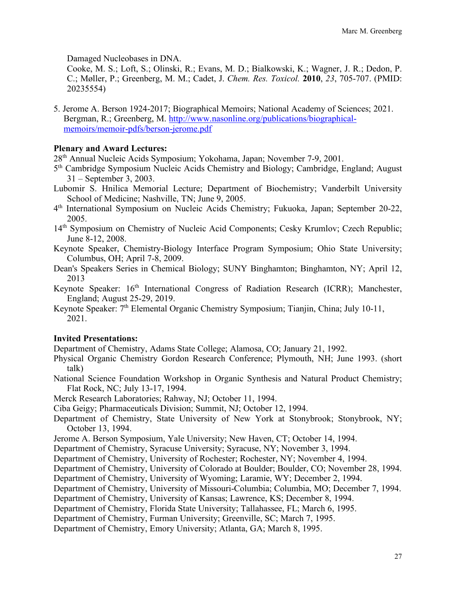Damaged Nucleobases in DNA.

Cooke, M. S.; Loft, S.; Olinski, R.; Evans, M. D.; Bialkowski, K.; Wagner, J. R.; Dedon, P. C.; Møller, P.; Greenberg, M. M.; Cadet, J. *Chem. Res. Toxicol.* **2010**, *23*, 705-707. (PMID: 20235554)

5. Jerome A. Berson 1924-2017; Biographical Memoirs; National Academy of Sciences; 2021. Bergman, R.; Greenberg, M. http://www.nasonline.org/publications/biographicalmemoirs/memoir-pdfs/berson-jerome.pdf

### **Plenary and Award Lectures:**

28th Annual Nucleic Acids Symposium; Yokohama, Japan; November 7-9, 2001.

- 5th Cambridge Symposium Nucleic Acids Chemistry and Biology; Cambridge, England; August 31 – September 3, 2003.
- Lubomir S. Hnilica Memorial Lecture; Department of Biochemistry; Vanderbilt University School of Medicine; Nashville, TN; June 9, 2005.
- 4th International Symposium on Nucleic Acids Chemistry; Fukuoka, Japan; September 20-22, 2005.
- 14<sup>th</sup> Symposium on Chemistry of Nucleic Acid Components; Cesky Krumlov; Czech Republic; June 8-12, 2008.
- Keynote Speaker, Chemistry-Biology Interface Program Symposium; Ohio State University; Columbus, OH; April 7-8, 2009.
- Dean's Speakers Series in Chemical Biology; SUNY Binghamton; Binghamton, NY; April 12, 2013
- Keynote Speaker: 16<sup>th</sup> International Congress of Radiation Research (ICRR); Manchester, England; August 25-29, 2019.
- Keynote Speaker: 7<sup>th</sup> Elemental Organic Chemistry Symposium; Tianjin, China; July 10-11, 2021.

### **Invited Presentations:**

Department of Chemistry, Adams State College; Alamosa, CO; January 21, 1992.

- Physical Organic Chemistry Gordon Research Conference; Plymouth, NH; June 1993. (short talk)
- National Science Foundation Workshop in Organic Synthesis and Natural Product Chemistry; Flat Rock, NC; July 13-17, 1994.
- Merck Research Laboratories; Rahway, NJ; October 11, 1994.
- Ciba Geigy; Pharmaceuticals Division; Summit, NJ; October 12, 1994.
- Department of Chemistry, State University of New York at Stonybrook; Stonybrook, NY; October 13, 1994.
- Jerome A. Berson Symposium, Yale University; New Haven, CT; October 14, 1994.
- Department of Chemistry, Syracuse University; Syracuse, NY; November 3, 1994.
- Department of Chemistry, University of Rochester; Rochester, NY; November 4, 1994.
- Department of Chemistry, University of Colorado at Boulder; Boulder, CO; November 28, 1994.
- Department of Chemistry, University of Wyoming; Laramie, WY; December 2, 1994.
- Department of Chemistry, University of Missouri-Columbia; Columbia, MO; December 7, 1994.
- Department of Chemistry, University of Kansas; Lawrence, KS; December 8, 1994.
- Department of Chemistry, Florida State University; Tallahassee, FL; March 6, 1995.
- Department of Chemistry, Furman University; Greenville, SC; March 7, 1995.

Department of Chemistry, Emory University; Atlanta, GA; March 8, 1995.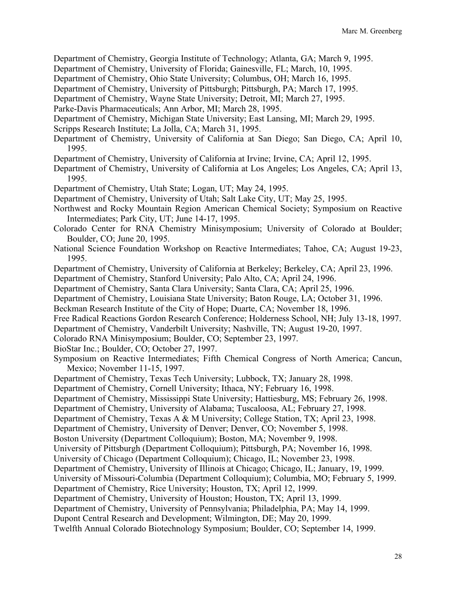Department of Chemistry, Georgia Institute of Technology; Atlanta, GA; March 9, 1995.

Department of Chemistry, University of Florida; Gainesville, FL; March, 10, 1995.

Department of Chemistry, Ohio State University; Columbus, OH; March 16, 1995.

Department of Chemistry, University of Pittsburgh; Pittsburgh, PA; March 17, 1995.

Department of Chemistry, Wayne State University; Detroit, MI; March 27, 1995.

Parke-Davis Pharmaceuticals; Ann Arbor, MI; March 28, 1995.

Department of Chemistry, Michigan State University; East Lansing, MI; March 29, 1995.

Scripps Research Institute; La Jolla, CA; March 31, 1995.

Department of Chemistry, University of California at San Diego; San Diego, CA; April 10, 1995.

Department of Chemistry, University of California at Irvine; Irvine, CA; April 12, 1995.

Department of Chemistry, University of California at Los Angeles; Los Angeles, CA; April 13, 1995.

Department of Chemistry, Utah State; Logan, UT; May 24, 1995.

Department of Chemistry, University of Utah; Salt Lake City, UT; May 25, 1995.

Northwest and Rocky Mountain Region American Chemical Society; Symposium on Reactive Intermediates; Park City, UT; June 14-17, 1995.

Colorado Center for RNA Chemistry Minisymposium; University of Colorado at Boulder; Boulder, CO; June 20, 1995.

National Science Foundation Workshop on Reactive Intermediates; Tahoe, CA; August 19-23, 1995.

Department of Chemistry, University of California at Berkeley; Berkeley, CA; April 23, 1996.

Department of Chemistry, Stanford University; Palo Alto, CA; April 24, 1996.

Department of Chemistry, Santa Clara University; Santa Clara, CA; April 25, 1996.

Department of Chemistry, Louisiana State University; Baton Rouge, LA; October 31, 1996.

Beckman Research Institute of the City of Hope; Duarte, CA; November 18, 1996.

Free Radical Reactions Gordon Research Conference; Holderness School, NH; July 13-18, 1997.

Department of Chemistry, Vanderbilt University; Nashville, TN; August 19-20, 1997.

Colorado RNA Minisymposium; Boulder, CO; September 23, 1997.

BioStar Inc.; Boulder, CO; October 27, 1997.

Symposium on Reactive Intermediates; Fifth Chemical Congress of North America; Cancun, Mexico; November 11-15, 1997.

Department of Chemistry, Texas Tech University; Lubbock, TX; January 28, 1998.

Department of Chemistry, Cornell University; Ithaca, NY; February 16, 1998.

Department of Chemistry, Mississippi State University; Hattiesburg, MS; February 26, 1998.

Department of Chemistry, University of Alabama; Tuscaloosa, AL; February 27, 1998.

Department of Chemistry, Texas A & M University; College Station, TX; April 23, 1998.

Department of Chemistry, University of Denver; Denver, CO; November 5, 1998.

Boston University (Department Colloquium); Boston, MA; November 9, 1998.

University of Pittsburgh (Department Colloquium); Pittsburgh, PA; November 16, 1998.

University of Chicago (Department Colloquium); Chicago, IL; November 23, 1998.

Department of Chemistry, University of Illinois at Chicago; Chicago, IL; January, 19, 1999.

University of Missouri-Columbia (Department Colloquium); Columbia, MO; February 5, 1999.

Department of Chemistry, Rice University; Houston, TX; April 12, 1999.

Department of Chemistry, University of Houston; Houston, TX; April 13, 1999.

Department of Chemistry, University of Pennsylvania; Philadelphia, PA; May 14, 1999.

Dupont Central Research and Development; Wilmington, DE; May 20, 1999.

Twelfth Annual Colorado Biotechnology Symposium; Boulder, CO; September 14, 1999.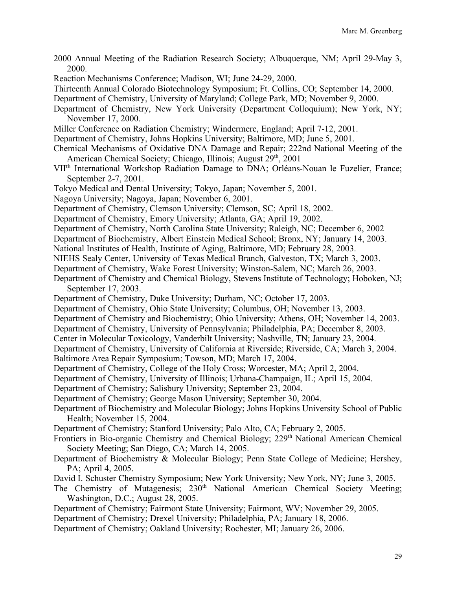- 2000 Annual Meeting of the Radiation Research Society; Albuquerque, NM; April 29-May 3, 2000.
- Reaction Mechanisms Conference; Madison, WI; June 24-29, 2000.
- Thirteenth Annual Colorado Biotechnology Symposium; Ft. Collins, CO; September 14, 2000.
- Department of Chemistry, University of Maryland; College Park, MD; November 9, 2000.
- Department of Chemistry, New York University (Department Colloquium); New York, NY; November 17, 2000.
- Miller Conference on Radiation Chemistry; Windermere, England; April 7-12, 2001.
- Department of Chemistry, Johns Hopkins University; Baltimore, MD; June 5, 2001.
- Chemical Mechanisms of Oxidative DNA Damage and Repair; 222nd National Meeting of the American Chemical Society; Chicago, Illinois; August 29<sup>th</sup>, 2001
- VIIth International Workshop Radiation Damage to DNA; Orléans-Nouan le Fuzelier, France; September 2-7, 2001.
- Tokyo Medical and Dental University; Tokyo, Japan; November 5, 2001.
- Nagoya University; Nagoya, Japan; November 6, 2001.
- Department of Chemistry, Clemson University; Clemson, SC; April 18, 2002.
- Department of Chemistry, Emory University; Atlanta, GA; April 19, 2002.
- Department of Chemistry, North Carolina State University; Raleigh, NC; December 6, 2002
- Department of Biochemistry, Albert Einstein Medical School; Bronx, NY; January 14, 2003.
- National Institutes of Health, Institute of Aging, Baltimore, MD; February 28, 2003.
- NIEHS Sealy Center, University of Texas Medical Branch, Galveston, TX; March 3, 2003.
- Department of Chemistry, Wake Forest University; Winston-Salem, NC; March 26, 2003.
- Department of Chemistry and Chemical Biology, Stevens Institute of Technology; Hoboken, NJ; September 17, 2003.
- Department of Chemistry, Duke University; Durham, NC; October 17, 2003.
- Department of Chemistry, Ohio State University; Columbus, OH; November 13, 2003.
- Department of Chemistry and Biochemistry; Ohio University; Athens, OH; November 14, 2003.
- Department of Chemistry, University of Pennsylvania; Philadelphia, PA; December 8, 2003.
- Center in Molecular Toxicology, Vanderbilt University; Nashville, TN; January 23, 2004.
- Department of Chemistry, University of California at Riverside; Riverside, CA; March 3, 2004.
- Baltimore Area Repair Symposium; Towson, MD; March 17, 2004.
- Department of Chemistry, College of the Holy Cross; Worcester, MA; April 2, 2004.
- Department of Chemistry, University of Illinois; Urbana-Champaign, IL; April 15, 2004.
- Department of Chemistry; Salisbury University; September 23, 2004.
- Department of Chemistry; George Mason University; September 30, 2004.
- Department of Biochemistry and Molecular Biology; Johns Hopkins University School of Public Health; November 15, 2004.
- Department of Chemistry; Stanford University; Palo Alto, CA; February 2, 2005.
- Frontiers in Bio-organic Chemistry and Chemical Biology; 229<sup>th</sup> National American Chemical Society Meeting; San Diego, CA; March 14, 2005.
- Department of Biochemistry & Molecular Biology; Penn State College of Medicine; Hershey, PA; April 4, 2005.
- David I. Schuster Chemistry Symposium; New York University; New York, NY; June 3, 2005.
- The Chemistry of Mutagenesis;  $230<sup>th</sup>$  National American Chemical Society Meeting; Washington, D.C.; August 28, 2005.
- Department of Chemistry; Fairmont State University; Fairmont, WV; November 29, 2005.
- Department of Chemistry; Drexel University; Philadelphia, PA; January 18, 2006.
- Department of Chemistry; Oakland University; Rochester, MI; January 26, 2006.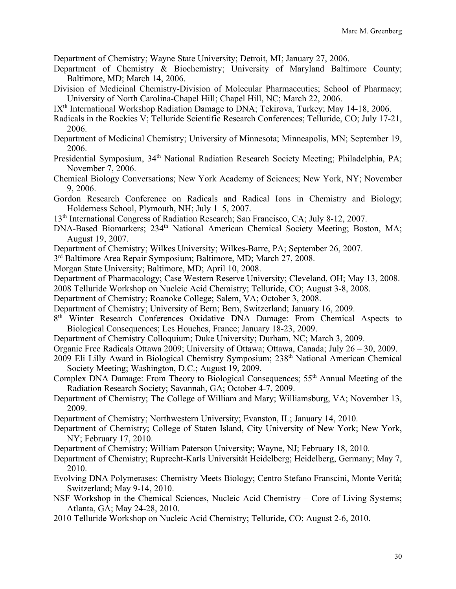Department of Chemistry; Wayne State University; Detroit, MI; January 27, 2006.

- Department of Chemistry & Biochemistry; University of Maryland Baltimore County; Baltimore, MD; March 14, 2006.
- Division of Medicinal Chemistry-Division of Molecular Pharmaceutics; School of Pharmacy; University of North Carolina-Chapel Hill; Chapel Hill, NC; March 22, 2006.
- IX<sup>th</sup> International Workshop Radiation Damage to DNA; Tekirova, Turkey; May 14-18, 2006.
- Radicals in the Rockies V; Telluride Scientific Research Conferences; Telluride, CO; July 17-21, 2006.
- Department of Medicinal Chemistry; University of Minnesota; Minneapolis, MN; September 19, 2006.
- Presidential Symposium, 34<sup>th</sup> National Radiation Research Society Meeting; Philadelphia, PA; November 7, 2006.
- Chemical Biology Conversations; New York Academy of Sciences; New York, NY; November 9, 2006.
- Gordon Research Conference on Radicals and Radical Ions in Chemistry and Biology; Holderness School, Plymouth, NH; July 1–5, 2007.
- 13th International Congress of Radiation Research; San Francisco, CA; July 8-12, 2007.
- DNA-Based Biomarkers; 234<sup>th</sup> National American Chemical Society Meeting; Boston, MA; August 19, 2007.
- Department of Chemistry; Wilkes University; Wilkes-Barre, PA; September 26, 2007.
- 3rd Baltimore Area Repair Symposium; Baltimore, MD; March 27, 2008.
- Morgan State University; Baltimore, MD; April 10, 2008.
- Department of Pharmacology; Case Western Reserve University; Cleveland, OH; May 13, 2008.
- 2008 Telluride Workshop on Nucleic Acid Chemistry; Telluride, CO; August 3-8, 2008.
- Department of Chemistry; Roanoke College; Salem, VA; October 3, 2008.
- Department of Chemistry; University of Bern; Bern, Switzerland; January 16, 2009.
- 8<sup>th</sup> Winter Research Conferences Oxidative DNA Damage: From Chemical Aspects to Biological Consequences; Les Houches, France; January 18-23, 2009.
- Department of Chemistry Colloquium; Duke University; Durham, NC; March 3, 2009.
- Organic Free Radicals Ottawa 2009; University of Ottawa; Ottawa, Canada; July 26 30, 2009.
- 2009 Eli Lilly Award in Biological Chemistry Symposium; 238th National American Chemical Society Meeting; Washington, D.C.; August 19, 2009.
- Complex DNA Damage: From Theory to Biological Consequences; 55<sup>th</sup> Annual Meeting of the Radiation Research Society; Savannah, GA; October 4-7, 2009.
- Department of Chemistry; The College of William and Mary; Williamsburg, VA; November 13, 2009.
- Department of Chemistry; Northwestern University; Evanston, IL; January 14, 2010.
- Department of Chemistry; College of Staten Island, City University of New York; New York, NY; February 17, 2010.
- Department of Chemistry; William Paterson University; Wayne, NJ; February 18, 2010.
- Department of Chemistry; Ruprecht-Karls Universität Heidelberg; Heidelberg, Germany; May 7, 2010.
- Evolving DNA Polymerases: Chemistry Meets Biology; Centro Stefano Franscini, Monte Verità; Switzerland; May 9-14, 2010.
- NSF Workshop in the Chemical Sciences, Nucleic Acid Chemistry Core of Living Systems; Atlanta, GA; May 24-28, 2010.
- 2010 Telluride Workshop on Nucleic Acid Chemistry; Telluride, CO; August 2-6, 2010.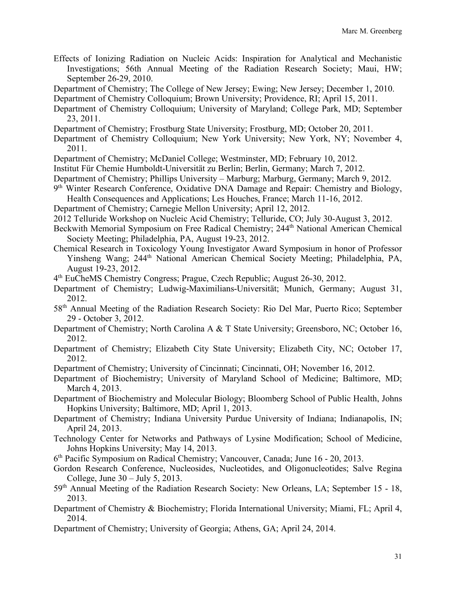- Effects of Ionizing Radiation on Nucleic Acids: Inspiration for Analytical and Mechanistic Investigations; 56th Annual Meeting of the Radiation Research Society; Maui, HW; September 26-29, 2010.
- Department of Chemistry; The College of New Jersey; Ewing; New Jersey; December 1, 2010.

Department of Chemistry Colloquium; Brown University; Providence, RI; April 15, 2011.

- Department of Chemistry Colloquium; University of Maryland; College Park, MD; September 23, 2011.
- Department of Chemistry; Frostburg State University; Frostburg, MD; October 20, 2011.
- Department of Chemistry Colloquium; New York University; New York, NY; November 4, 2011.
- Department of Chemistry; McDaniel College; Westminster, MD; February 10, 2012.
- Institut Für Chemie Humboldt-Universität zu Berlin; Berlin, Germany; March 7, 2012.
- Department of Chemistry; Phillips University Marburg; Marburg, Germany; March 9, 2012.
- 9th Winter Research Conference, Oxidative DNA Damage and Repair: Chemistry and Biology, Health Consequences and Applications; Les Houches, France; March 11-16, 2012.
- Department of Chemistry; Carnegie Mellon University; April 12, 2012.
- 2012 Telluride Workshop on Nucleic Acid Chemistry; Telluride, CO; July 30-August 3, 2012.
- Beckwith Memorial Symposium on Free Radical Chemistry; 244<sup>th</sup> National American Chemical Society Meeting; Philadelphia, PA, August 19-23, 2012.
- Chemical Research in Toxicology Young Investigator Award Symposium in honor of Professor Yinsheng Wang; 244<sup>th</sup> National American Chemical Society Meeting; Philadelphia, PA, August 19-23, 2012.
- 4th EuCheMS Chemistry Congress; Prague, Czech Republic; August 26-30, 2012.
- Department of Chemistry; Ludwig-Maximilians-Universität; Munich, Germany; August 31, 2012.
- 58th Annual Meeting of the Radiation Research Society: Rio Del Mar, Puerto Rico; September 29 - October 3, 2012.
- Department of Chemistry; North Carolina A & T State University; Greensboro, NC; October 16, 2012.
- Department of Chemistry; Elizabeth City State University; Elizabeth City, NC; October 17, 2012.
- Department of Chemistry; University of Cincinnati; Cincinnati, OH; November 16, 2012.
- Department of Biochemistry; University of Maryland School of Medicine; Baltimore, MD; March 4, 2013.
- Department of Biochemistry and Molecular Biology; Bloomberg School of Public Health, Johns Hopkins University; Baltimore, MD; April 1, 2013.
- Department of Chemistry; Indiana University Purdue University of Indiana; Indianapolis, IN; April 24, 2013.
- Technology Center for Networks and Pathways of Lysine Modification; School of Medicine, Johns Hopkins University; May 14, 2013.
- 6th Pacific Symposium on Radical Chemistry; Vancouver, Canada; June 16 20, 2013.
- Gordon Research Conference, Nucleosides, Nucleotides, and Oligonucleotides; Salve Regina College, June 30 – July 5, 2013.
- 59th Annual Meeting of the Radiation Research Society: New Orleans, LA; September 15 18, 2013.
- Department of Chemistry & Biochemistry; Florida International University; Miami, FL; April 4, 2014.
- Department of Chemistry; University of Georgia; Athens, GA; April 24, 2014.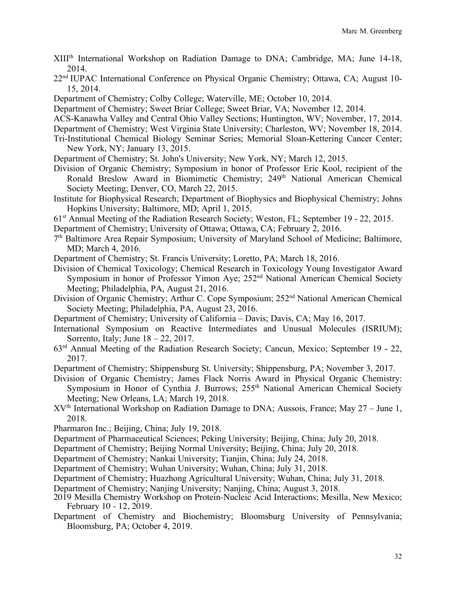- XIIIth International Workshop on Radiation Damage to DNA; Cambridge, MA; June 14-18, 2014.
- 22<sup>nd</sup> IUPAC International Conference on Physical Organic Chemistry; Ottawa, CA; August 10-15, 2014.
- Department of Chemistry; Colby College; Waterville, ME; October 10, 2014.
- Department of Chemistry; Sweet Briar College; Sweet Briar, VA; November 12, 2014.
- ACS-Kanawha Valley and Central Ohio Valley Sections; Huntington, WV; November, 17, 2014.
- Department of Chemistry; West Virginia State University; Charleston, WV; November 18, 2014.
- Tri-Institutional Chemical Biology Seminar Series; Memorial Sloan-Kettering Cancer Center; New York, NY; January 13, 2015.
- Department of Chemistry; St. John's University; New York, NY; March 12, 2015.
- Division of Organic Chemistry; Symposium in honor of Professor Eric Kool, recipient of the Ronald Breslow Award in Biomimetic Chemistry; 249<sup>th</sup> National American Chemical Society Meeting; Denver, CO, March 22, 2015.
- Institute for Biophysical Research; Department of Biophysics and Biophysical Chemistry; Johns Hopkins University; Baltimore, MD; April 1, 2015.
- 61st Annual Meeting of the Radiation Research Society; Weston, FL; September 19 22, 2015.
- Department of Chemistry; University of Ottawa; Ottawa, CA; February 2, 2016.
- 7th Baltimore Area Repair Symposium; University of Maryland School of Medicine; Baltimore, MD; March 4, 2016.
- Department of Chemistry; St. Francis University; Loretto, PA; March 18, 2016.
- Division of Chemical Toxicology; Chemical Research in Toxicology Young Investigator Award Symposium in honor of Professor Yimon Aye; 252<sup>nd</sup> National American Chemical Society Meeting; Philadelphia, PA, August 21, 2016.
- Division of Organic Chemistry; Arthur C. Cope Symposium; 252<sup>nd</sup> National American Chemical Society Meeting; Philadelphia, PA, August 23, 2016.
- Department of Chemistry; University of California Davis; Davis, CA; May 16, 2017.
- International Symposium on Reactive Intermediates and Unusual Molecules (ISRIUM); Sorrento, Italy; June 18 – 22, 2017.
- 63rd Annual Meeting of the Radiation Research Society; Cancun, Mexico; September 19 22, 2017.
- Department of Chemistry; Shippensburg St. University; Shippensburg, PA; November 3, 2017.
- Division of Organic Chemistry; James Flack Norris Award in Physical Organic Chemistry: Symposium in Honor of Cynthia J. Burrows; 255<sup>th</sup> National American Chemical Society Meeting; New Orleans, LA; March 19, 2018.
- $XV<sup>th</sup> International Workshop on Radiation Damage to DNA; Aussois, France; May 27 June 1,$ 2018.
- Pharmaron Inc.; Beijing, China; July 19, 2018.
- Department of Pharmaceutical Sciences; Peking University; Beijing, China; July 20, 2018.
- Department of Chemistry; Beijing Normal University; Beijing, China; July 20, 2018.
- Department of Chemistry; Nankai University; Tianjin, China; July 24, 2018.
- Department of Chemistry; Wuhan University; Wuhan, China; July 31, 2018.
- Department of Chemistry; Huazhong Agricultural University; Wuhan, China; July 31, 2018.
- Department of Chemistry; Nanjing University; Nanjing, China; August 3, 2018.
- 2019 Mesilla Chemistry Workshop on Protein-Nucleic Acid Interactions; Mesilla, New Mexico; February 10 - 12, 2019.
- Department of Chemistry and Biochemistry; Bloomsburg University of Pennsylvania; Bloomsburg, PA; October 4, 2019.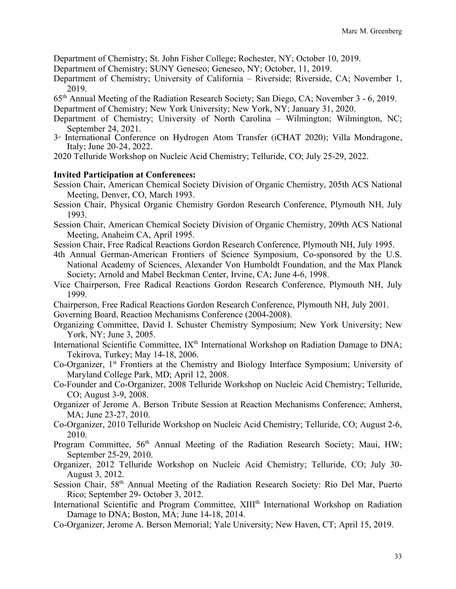Department of Chemistry; St. John Fisher College; Rochester, NY; October 10, 2019.

- Department of Chemistry; SUNY Geneseo; Geneseo, NY; October, 11, 2019.
- Department of Chemistry; University of California Riverside; Riverside, CA; November 1, 2019.
- 65th Annual Meeting of the Radiation Research Society; San Diego, CA; November 3 6, 2019.

Department of Chemistry; New York University; New York, NY; January 31, 2020.

- Department of Chemistry; University of North Carolina Wilmington; Wilmington, NC; September 24, 2021.
- $3<sup>d</sup>$  International Conference on Hydrogen Atom Transfer (iCHAT 2020); Villa Mondragone, Italy; June 20-24, 2022.

2020 Telluride Workshop on Nucleic Acid Chemistry; Telluride, CO; July 25-29, 2022.

### **Invited Participation at Conferences:**

- Session Chair, American Chemical Society Division of Organic Chemistry, 205th ACS National Meeting, Denver, CO, March 1993.
- Session Chair, Physical Organic Chemistry Gordon Research Conference, Plymouth NH, July 1993.
- Session Chair, American Chemical Society Division of Organic Chemistry, 209th ACS National Meeting, Anaheim CA, April 1995.
- Session Chair, Free Radical Reactions Gordon Research Conference, Plymouth NH, July 1995.
- 4th Annual German-American Frontiers of Science Symposium, Co-sponsored by the U.S. National Academy of Sciences, Alexander Von Humboldt Foundation, and the Max Planck Society; Arnold and Mabel Beckman Center, Irvine, CA; June 4-6, 1998.
- Vice Chairperson, Free Radical Reactions Gordon Research Conference, Plymouth NH, July 1999.
- Chairperson, Free Radical Reactions Gordon Research Conference, Plymouth NH, July 2001.
- Governing Board, Reaction Mechanisms Conference (2004-2008).
- Organizing Committee, David I. Schuster Chemistry Symposium; New York University; New York, NY; June 3, 2005.
- International Scientific Committee, IX<sup>th</sup> International Workshop on Radiation Damage to DNA; Tekirova, Turkey; May 14-18, 2006.
- Co-Organizer, 1st Frontiers at the Chemistry and Biology Interface Symposium; University of Maryland College Park, MD; April 12, 2008.
- Co-Founder and Co-Organizer, 2008 Telluride Workshop on Nucleic Acid Chemistry; Telluride, CO; August 3-9, 2008.
- Organizer of Jerome A. Berson Tribute Session at Reaction Mechanisms Conference; Amherst, MA; June 23-27, 2010.
- Co-Organizer, 2010 Telluride Workshop on Nucleic Acid Chemistry; Telluride, CO; August 2-6, 2010.
- Program Committee,  $56<sup>th</sup>$  Annual Meeting of the Radiation Research Society; Maui, HW; September 25-29, 2010.
- Organizer, 2012 Telluride Workshop on Nucleic Acid Chemistry; Telluride, CO; July 30- August 3, 2012.
- Session Chair, 58th Annual Meeting of the Radiation Research Society: Rio Del Mar, Puerto Rico; September 29- October 3, 2012.
- International Scientific and Program Committee, XIII<sup>th</sup> International Workshop on Radiation Damage to DNA; Boston, MA; June 14-18, 2014.
- Co-Organizer, Jerome A. Berson Memorial; Yale University; New Haven, CT; April 15, 2019.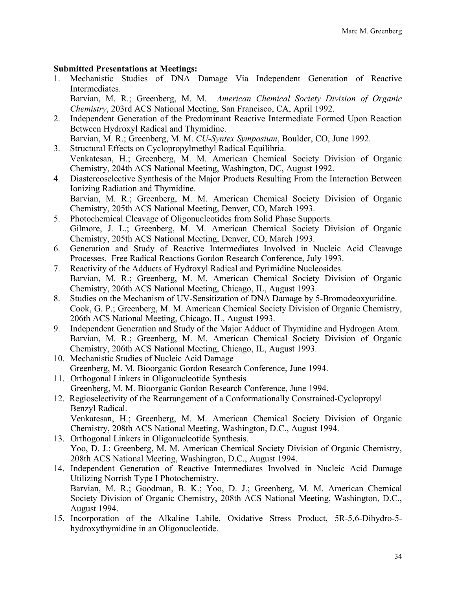### **Submitted Presentations at Meetings:**

1. Mechanistic Studies of DNA Damage Via Independent Generation of Reactive Intermediates. Barvian, M. R.; Greenberg, M. M. *American Chemical Society Division of Organic* 

*Chemistry*, 203rd ACS National Meeting, San Francisco, CA, April 1992.

- 2. Independent Generation of the Predominant Reactive Intermediate Formed Upon Reaction Between Hydroxyl Radical and Thymidine. Barvian, M. R.; Greenberg, M. M. *CU-Syntex Symposium*, Boulder, CO, June 1992.
- 3. Structural Effects on Cyclopropylmethyl Radical Equilibria. Venkatesan, H.; Greenberg, M. M. American Chemical Society Division of Organic Chemistry, 204th ACS National Meeting, Washington, DC, August 1992.
- 4. Diastereoselective Synthesis of the Major Products Resulting From the Interaction Between Ionizing Radiation and Thymidine. Barvian, M. R.; Greenberg, M. M. American Chemical Society Division of Organic Chemistry, 205th ACS National Meeting, Denver, CO, March 1993.
- 5. Photochemical Cleavage of Oligonucleotides from Solid Phase Supports. Gilmore, J. L.; Greenberg, M. M. American Chemical Society Division of Organic Chemistry, 205th ACS National Meeting, Denver, CO, March 1993.
- 6. Generation and Study of Reactive Intermediates Involved in Nucleic Acid Cleavage Processes. Free Radical Reactions Gordon Research Conference, July 1993.
- 7. Reactivity of the Adducts of Hydroxyl Radical and Pyrimidine Nucleosides. Barvian, M. R.; Greenberg, M. M. American Chemical Society Division of Organic Chemistry, 206th ACS National Meeting, Chicago, IL, August 1993.
- 8. Studies on the Mechanism of UV-Sensitization of DNA Damage by 5-Bromodeoxyuridine. Cook, G. P.; Greenberg, M. M. American Chemical Society Division of Organic Chemistry, 206th ACS National Meeting, Chicago, IL, August 1993.
- 9. Independent Generation and Study of the Major Adduct of Thymidine and Hydrogen Atom. Barvian, M. R.; Greenberg, M. M. American Chemical Society Division of Organic Chemistry, 206th ACS National Meeting, Chicago, IL, August 1993.
- 10. Mechanistic Studies of Nucleic Acid Damage Greenberg, M. M. Bioorganic Gordon Research Conference, June 1994.
- 11. Orthogonal Linkers in Oligonucleotide Synthesis Greenberg, M. M. Bioorganic Gordon Research Conference, June 1994.
- 12. Regioselectivity of the Rearrangement of a Conformationally Constrained-Cyclopropyl Benzyl Radical. Venkatesan, H.; Greenberg, M. M. American Chemical Society Division of Organic Chemistry, 208th ACS National Meeting, Washington, D.C., August 1994.
- 13. Orthogonal Linkers in Oligonucleotide Synthesis. Yoo, D. J.; Greenberg, M. M. American Chemical Society Division of Organic Chemistry, 208th ACS National Meeting, Washington, D.C., August 1994.
- 14. Independent Generation of Reactive Intermediates Involved in Nucleic Acid Damage Utilizing Norrish Type I Photochemistry. Barvian, M. R.; Goodman, B. K.; Yoo, D. J.; Greenberg, M. M. American Chemical Society Division of Organic Chemistry, 208th ACS National Meeting, Washington, D.C., August 1994.
- 15. Incorporation of the Alkaline Labile, Oxidative Stress Product, 5R-5,6-Dihydro-5 hydroxythymidine in an Oligonucleotide.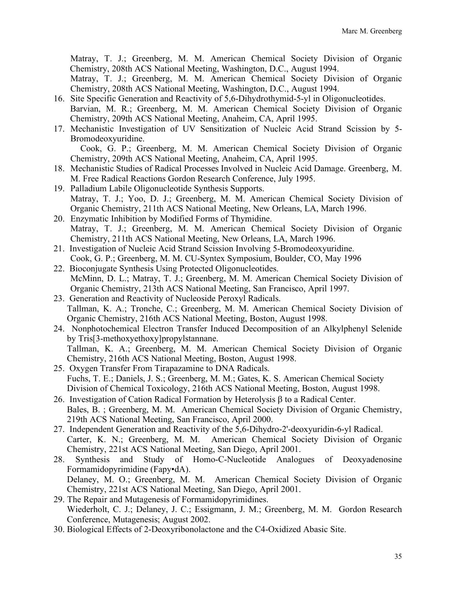Matray, T. J.; Greenberg, M. M. American Chemical Society Division of Organic Chemistry, 208th ACS National Meeting, Washington, D.C., August 1994.

Matray, T. J.; Greenberg, M. M. American Chemical Society Division of Organic Chemistry, 208th ACS National Meeting, Washington, D.C., August 1994.

- 16. Site Specific Generation and Reactivity of 5,6-Dihydrothymid-5-yl in Oligonucleotides. Barvian, M. R.; Greenberg, M. M. American Chemical Society Division of Organic Chemistry, 209th ACS National Meeting, Anaheim, CA, April 1995.
- 17. Mechanistic Investigation of UV Sensitization of Nucleic Acid Strand Scission by 5- Bromodeoxyuridine.

Cook, G. P.; Greenberg, M. M. American Chemical Society Division of Organic Chemistry, 209th ACS National Meeting, Anaheim, CA, April 1995.

- 18. Mechanistic Studies of Radical Processes Involved in Nucleic Acid Damage. Greenberg, M. M. Free Radical Reactions Gordon Research Conference, July 1995.
- 19. Palladium Labile Oligonucleotide Synthesis Supports. Matray, T. J.; Yoo, D. J.; Greenberg, M. M. American Chemical Society Division of Organic Chemistry, 211th ACS National Meeting, New Orleans, LA, March 1996.
- 20. Enzymatic Inhibition by Modified Forms of Thymidine. Matray, T. J.; Greenberg, M. M. American Chemical Society Division of Organic Chemistry, 211th ACS National Meeting, New Orleans, LA, March 1996.
- 21. Investigation of Nucleic Acid Strand Scission Involving 5-Bromodeoxyuridine. Cook, G. P.; Greenberg, M. M. CU-Syntex Symposium, Boulder, CO, May 1996
- 22. Bioconjugate Synthesis Using Protected Oligonucleotides. McMinn, D. L.; Matray, T. J.; Greenberg, M. M. American Chemical Society Division of Organic Chemistry, 213th ACS National Meeting, San Francisco, April 1997.
- 23. Generation and Reactivity of Nucleoside Peroxyl Radicals. Tallman, K. A.; Tronche, C.; Greenberg, M. M. American Chemical Society Division of Organic Chemistry, 216th ACS National Meeting, Boston, August 1998.
- 24. Nonphotochemical Electron Transfer Induced Decomposition of an Alkylphenyl Selenide by Tris[3-methoxyethoxy]propylstannane. Tallman, K. A.; Greenberg, M. M. American Chemical Society Division of Organic Chemistry, 216th ACS National Meeting, Boston, August 1998.
- 25. Oxygen Transfer From Tirapazamine to DNA Radicals. Fuchs, T. E.; Daniels, J. S.; Greenberg, M. M.; Gates, K. S. American Chemical Society Division of Chemical Toxicology, 216th ACS National Meeting, Boston, August 1998.
- 26. Investigation of Cation Radical Formation by Heterolysis  $\beta$  to a Radical Center. Bales, B. ; Greenberg, M. M. American Chemical Society Division of Organic Chemistry, 219th ACS National Meeting, San Francisco, April 2000.
- 27. Independent Generation and Reactivity of the 5,6-Dihydro-2'-deoxyuridin-6-yl Radical. Carter, K. N.; Greenberg, M. M. American Chemical Society Division of Organic Chemistry, 221st ACS National Meeting, San Diego, April 2001.
- 28. Synthesis and Study of Homo-C-Nucleotide Analogues of Deoxyadenosine Formamidopyrimidine (Fapy•dA). Delaney, M. O.; Greenberg, M. M. American Chemical Society Division of Organic Chemistry, 221st ACS National Meeting, San Diego, April 2001.
- 29. The Repair and Mutagenesis of Formamidopyrimidines. Wiederholt, C. J.; Delaney, J. C.; Essigmann, J. M.; Greenberg, M. M. Gordon Research Conference, Mutagenesis; August 2002.
- 30. Biological Effects of 2-Deoxyribonolactone and the C4-Oxidized Abasic Site.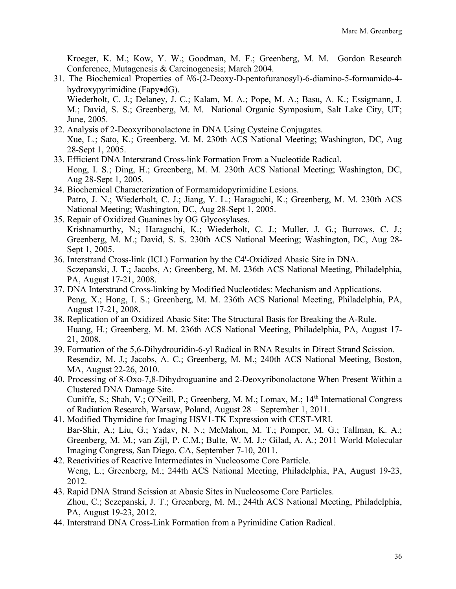Kroeger, K. M.; Kow, Y. W.; Goodman, M. F.; Greenberg, M. M. Gordon Research Conference, Mutagenesis & Carcinogenesis; March 2004.

31. The Biochemical Properties of *N*6-(2-Deoxy-D-pentofuranosyl)-6-diamino-5-formamido-4 hydroxypyrimidine (Fapy•dG). Wiederholt, C. J.; Delaney, J. C.; Kalam, M. A.; Pope, M. A.; Basu, A. K.; Essigmann, J.

M.; David, S. S.; Greenberg, M. M. National Organic Symposium, Salt Lake City, UT; June, 2005.

- 32. Analysis of 2-Deoxyribonolactone in DNA Using Cysteine Conjugates. Xue, L.; Sato, K.; Greenberg, M. M. 230th ACS National Meeting; Washington, DC, Aug 28-Sept 1, 2005.
- 33. Efficient DNA Interstrand Cross-link Formation From a Nucleotide Radical. Hong, I. S.; Ding, H.; Greenberg, M. M. 230th ACS National Meeting; Washington, DC, Aug 28-Sept 1, 2005.
- 34. Biochemical Characterization of Formamidopyrimidine Lesions. Patro, J. N.; Wiederholt, C. J.; Jiang, Y. L.; Haraguchi, K.; Greenberg, M. M. 230th ACS National Meeting; Washington, DC, Aug 28-Sept 1, 2005.
- 35. Repair of Oxidized Guanines by OG Glycosylases. Krishnamurthy, N.; Haraguchi, K.; Wiederholt, C. J.; Muller, J. G.; Burrows, C. J.; Greenberg, M. M.; David, S. S. 230th ACS National Meeting; Washington, DC, Aug 28- Sept 1, 2005.
- 36. Interstrand Cross-link (ICL) Formation by the C4'-Oxidized Abasic Site in DNA. Sczepanski, J. T.; Jacobs, A; Greenberg, M. M. 236th ACS National Meeting, Philadelphia, PA, August 17-21, 2008.
- 37. DNA Interstrand Cross-linking by Modified Nucleotides: Mechanism and Applications. Peng, X.; Hong, I. S.; Greenberg, M. M. 236th ACS National Meeting, Philadelphia, PA, August 17-21, 2008.
- 38. Replication of an Oxidized Abasic Site: The Structural Basis for Breaking the A-Rule. Huang, H.; Greenberg, M. M. 236th ACS National Meeting, Philadelphia, PA, August 17- 21, 2008.
- 39. Formation of the 5,6-Dihydrouridin-6-yl Radical in RNA Results in Direct Strand Scission. Resendiz, M. J.; Jacobs, A. C.; Greenberg, M. M.; 240th ACS National Meeting, Boston, MA, August 22-26, 2010.
- 40. Processing of 8-Oxo-7,8-Dihydroguanine and 2-Deoxyribonolactone When Present Within a Clustered DNA Damage Site. Cuniffe, S.; Shah, V.; O'Neill, P.; Greenberg, M. M.; Lomax, M.;  $14<sup>th</sup>$  International Congress of Radiation Research, Warsaw, Poland, August 28 – September 1, 2011.
- 41. Modified Thymidine for Imaging HSV1-TK Expression with CEST-MRI. Bar-Shir, A.; Liu, G.; Yadav, N. N.; McMahon, M. T.; Pomper, M. G.; Tallman, K. A.; Greenberg, M. M.; van Zijl, P. C.M.; Bulte, W. M. J.; Gilad, A. A.; 2011 World Molecular Imaging Congress, San Diego, CA, September 7-10, 2011.
- 42. Reactivities of Reactive Intermediates in Nucleosome Core Particle. Weng, L.; Greenberg, M.; 244th ACS National Meeting, Philadelphia, PA, August 19-23, 2012.
- 43. Rapid DNA Strand Scission at Abasic Sites in Nucleosome Core Particles. Zhou, C.; Sczepanski, J. T.; Greenberg, M. M.; 244th ACS National Meeting, Philadelphia, PA, August 19-23, 2012.
- 44. Interstrand DNA Cross-Link Formation from a Pyrimidine Cation Radical.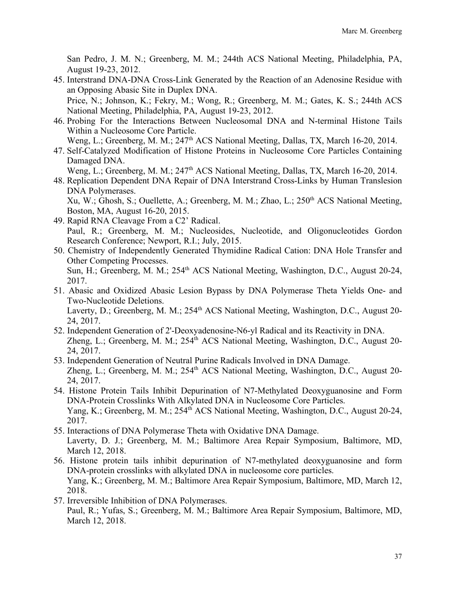San Pedro, J. M. N.; Greenberg, M. M.; 244th ACS National Meeting, Philadelphia, PA, August 19-23, 2012.

- 45. Interstrand DNA-DNA Cross-Link Generated by the Reaction of an Adenosine Residue with an Opposing Abasic Site in Duplex DNA. Price, N.; Johnson, K.; Fekry, M.; Wong, R.; Greenberg, M. M.; Gates, K. S.; 244th ACS National Meeting, Philadelphia, PA, August 19-23, 2012.
- 46. Probing For the Interactions Between Nucleosomal DNA and N-terminal Histone Tails Within a Nucleosome Core Particle. Weng, L.; Greenberg, M. M.; 247<sup>th</sup> ACS National Meeting, Dallas, TX, March 16-20, 2014.
- 47. Self-Catalyzed Modification of Histone Proteins in Nucleosome Core Particles Containing Damaged DNA.
	- Weng, L.; Greenberg, M. M.; 247<sup>th</sup> ACS National Meeting, Dallas, TX, March 16-20, 2014.
- 48. Replication Dependent DNA Repair of DNA Interstrand Cross-Links by Human Translesion DNA Polymerases.

Xu, W.; Ghosh, S.; Ouellette, A.; Greenberg, M. M.; Zhao, L.; 250<sup>th</sup> ACS National Meeting, Boston, MA, August 16-20, 2015.

- 49. Rapid RNA Cleavage From a C2' Radical. Paul, R.; Greenberg, M. M.; Nucleosides, Nucleotide, and Oligonucleotides Gordon Research Conference; Newport, R.I.; July, 2015.
- 50. Chemistry of Independently Generated Thymidine Radical Cation: DNA Hole Transfer and Other Competing Processes. Sun, H.; Greenberg, M. M.; 254<sup>th</sup> ACS National Meeting, Washington, D.C., August 20-24, 2017.
- 51. Abasic and Oxidized Abasic Lesion Bypass by DNA Polymerase Theta Yields One- and Two-Nucleotide Deletions. Laverty, D.; Greenberg, M. M.; 254<sup>th</sup> ACS National Meeting, Washington, D.C., August 20-24, 2017.
- 52. Independent Generation of 2'-Deoxyadenosine-N6-yl Radical and its Reactivity in DNA. Zheng, L.; Greenberg, M. M.; 254<sup>th</sup> ACS National Meeting, Washington, D.C., August 20-24, 2017.
- 53. Independent Generation of Neutral Purine Radicals Involved in DNA Damage. Zheng, L.; Greenberg, M. M.;  $254<sup>th</sup> ACS$  National Meeting, Washington, D.C., August 20-24, 2017.
- 54. Histone Protein Tails Inhibit Depurination of N7-Methylated Deoxyguanosine and Form DNA-Protein Crosslinks With Alkylated DNA in Nucleosome Core Particles. Yang, K.; Greenberg, M. M.; 254<sup>th</sup> ACS National Meeting, Washington, D.C., August 20-24, 2017.
- 55. Interactions of DNA Polymerase Theta with Oxidative DNA Damage. Laverty, D. J.; Greenberg, M. M.; Baltimore Area Repair Symposium, Baltimore, MD, March 12, 2018.
- 56. Histone protein tails inhibit depurination of N7-methylated deoxyguanosine and form DNA-protein crosslinks with alkylated DNA in nucleosome core particles. Yang, K.; Greenberg, M. M.; Baltimore Area Repair Symposium, Baltimore, MD, March 12, 2018.
- 57. Irreversible Inhibition of DNA Polymerases. Paul, R.; Yufas, S.; Greenberg, M. M.; Baltimore Area Repair Symposium, Baltimore, MD, March 12, 2018.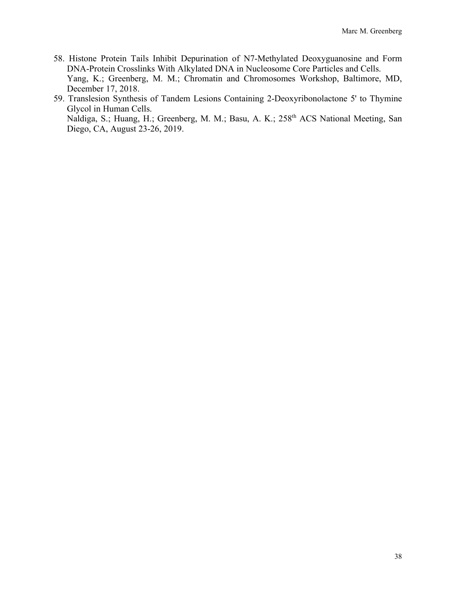- 58. Histone Protein Tails Inhibit Depurination of N7-Methylated Deoxyguanosine and Form DNA-Protein Crosslinks With Alkylated DNA in Nucleosome Core Particles and Cells. Yang, K.; Greenberg, M. M.; Chromatin and Chromosomes Workshop, Baltimore, MD, December 17, 2018.
- 59. Translesion Synthesis of Tandem Lesions Containing 2-Deoxyribonolactone 5' to Thymine Glycol in Human Cells. Naldiga, S.; Huang, H.; Greenberg, M. M.; Basu, A. K.; 258th ACS National Meeting, San Diego, CA, August 23-26, 2019.